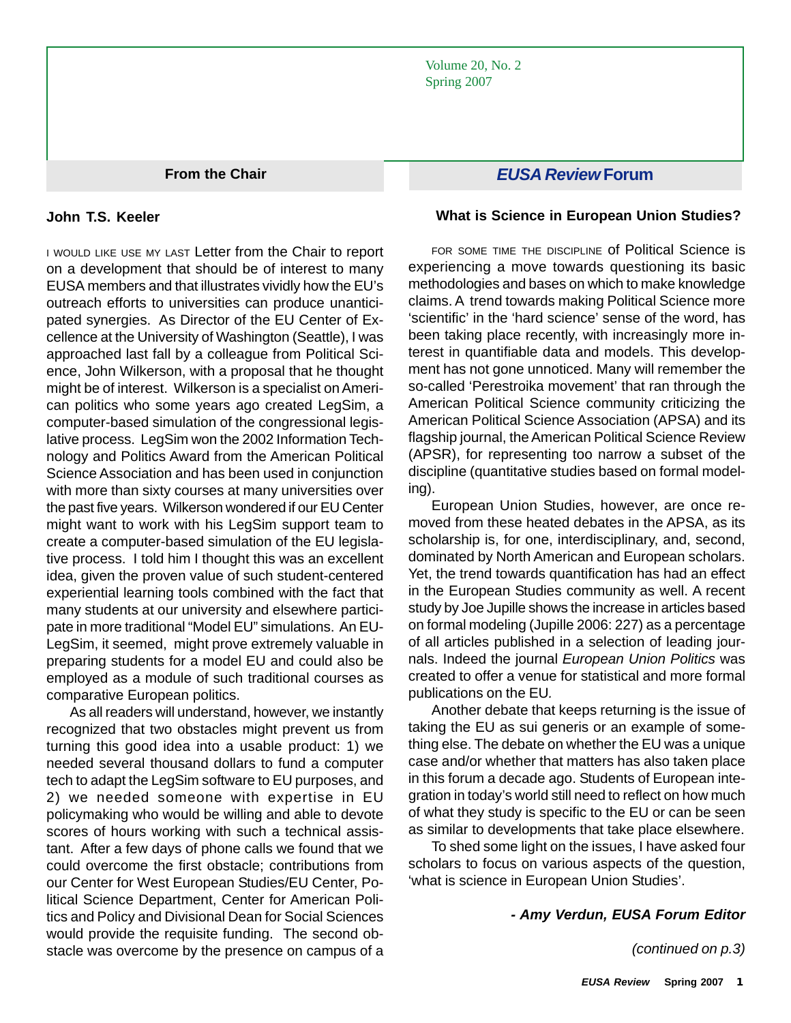Volume 20, No. 2 Spring 2007

**From the Chair**

#### **John T.S. Keeler**

I WOULD LIKE USE MY LAST Letter from the Chair to report on a development that should be of interest to many EUSA members and that illustrates vividly how the EU's outreach efforts to universities can produce unanticipated synergies. As Director of the EU Center of Excellence at the University of Washington (Seattle), I was approached last fall by a colleague from Political Science, John Wilkerson, with a proposal that he thought might be of interest. Wilkerson is a specialist on American politics who some years ago created LegSim, a computer-based simulation of the congressional legislative process. LegSim won the 2002 Information Technology and Politics Award from the American Political Science Association and has been used in conjunction with more than sixty courses at many universities over the past five years. Wilkerson wondered if our EU Center might want to work with his LegSim support team to create a computer-based simulation of the EU legislative process. I told him I thought this was an excellent idea, given the proven value of such student-centered experiential learning tools combined with the fact that many students at our university and elsewhere participate in more traditional "Model EU" simulations. An EU-LegSim, it seemed, might prove extremely valuable in preparing students for a model EU and could also be employed as a module of such traditional courses as comparative European politics.

As all readers will understand, however, we instantly recognized that two obstacles might prevent us from turning this good idea into a usable product: 1) we needed several thousand dollars to fund a computer tech to adapt the LegSim software to EU purposes, and 2) we needed someone with expertise in EU policymaking who would be willing and able to devote scores of hours working with such a technical assistant. After a few days of phone calls we found that we could overcome the first obstacle; contributions from our Center for West European Studies/EU Center, Political Science Department, Center for American Politics and Policy and Divisional Dean for Social Sciences would provide the requisite funding. The second obstacle was overcome by the presence on campus of a

# *EUSA Review* **Forum**

#### **What is Science in European Union Studies?**

FOR SOME TIME THE DISCIPLINE Of Political Science is experiencing a move towards questioning its basic methodologies and bases on which to make knowledge claims. A trend towards making Political Science more 'scientific' in the 'hard science' sense of the word, has been taking place recently, with increasingly more interest in quantifiable data and models. This development has not gone unnoticed. Many will remember the so-called 'Perestroika movement' that ran through the American Political Science community criticizing the American Political Science Association (APSA) and its flagship journal, the American Political Science Review (APSR), for representing too narrow a subset of the discipline (quantitative studies based on formal modeling).

European Union Studies, however, are once removed from these heated debates in the APSA, as its scholarship is, for one, interdisciplinary, and, second, dominated by North American and European scholars. Yet, the trend towards quantification has had an effect in the European Studies community as well. A recent study by Joe Jupille shows the increase in articles based on formal modeling (Jupille 2006: 227) as a percentage of all articles published in a selection of leading journals. Indeed the journal *European Union Politics* was created to offer a venue for statistical and more formal publications on the EU*.*

Another debate that keeps returning is the issue of taking the EU as sui generis or an example of something else. The debate on whether the EU was a unique case and/or whether that matters has also taken place in this forum a decade ago. Students of European integration in today's world still need to reflect on how much of what they study is specific to the EU or can be seen as similar to developments that take place elsewhere.

To shed some light on the issues, I have asked four scholars to focus on various aspects of the question, 'what is science in European Union Studies'.

#### *- Amy Verdun, EUSA Forum Editor*

*(continued on p.3)*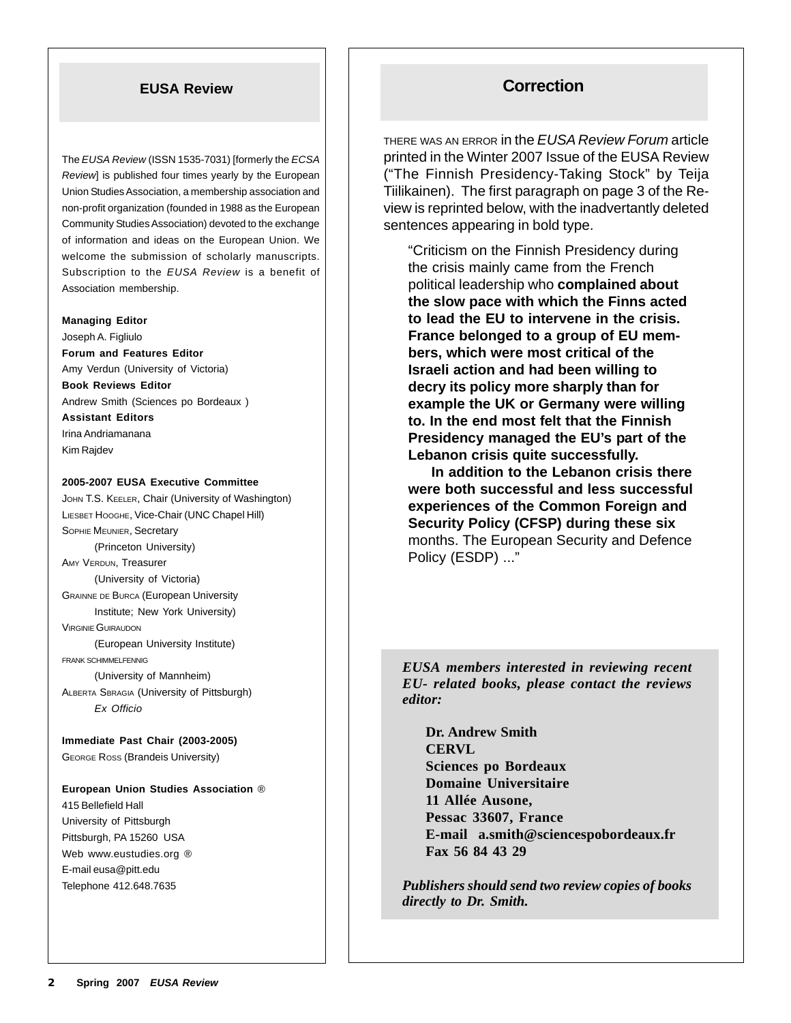The *EUSA Review* (ISSN 1535-7031) [formerly the *ECSA Review*] is published four times yearly by the European Union Studies Association, a membership association and non-profit organization (founded in 1988 as the European Community Studies Association) devoted to the exchange of information and ideas on the European Union. We welcome the submission of scholarly manuscripts. Subscription to the *EUSA Review* is a benefit of Association membership.

#### **Managing Editor**

Joseph A. Figliulo **Forum and Features Editor** Amy Verdun (University of Victoria) **Book Reviews Editor** Andrew Smith (Sciences po Bordeaux ) **Assistant Editors** Irina Andriamanana Kim Rajdev

**2005-2007 EUSA Executive Committee**

JOHN T.S. KEELER, Chair (University of Washington) LIESBET HOOGHE, Vice-Chair (UNC Chapel Hill) SOPHIE MEUNIER, Secretary (Princeton University) AMY VERDUN, Treasurer (University of Victoria) GRAINNE DE BURCA (European University Institute; New York University) VIRGINIE GUIRAUDON (European University Institute) FRANK SCHIMMELFENNIG (University of Mannheim) ALBERTA SBRAGIA (University of Pittsburgh) *Ex Officio*

**Immediate Past Chair (2003-2005)** GEORGE ROSS (Brandeis University)

**European Union Studies Association** ® 415 Bellefield Hall University of Pittsburgh Pittsburgh, PA 15260 USA Web www.eustudies.org ® E-mail eusa@pitt.edu Telephone 412.648.7635

# **EUSA Review Correction**

THERE WAS AN ERROR in the *EUSA Review Forum* article printed in the Winter 2007 Issue of the EUSA Review ("The Finnish Presidency-Taking Stock" by Teija Tiilikainen). The first paragraph on page 3 of the Review is reprinted below, with the inadvertantly deleted sentences appearing in bold type.

"Criticism on the Finnish Presidency during the crisis mainly came from the French political leadership who **complained about the slow pace with which the Finns acted to lead the EU to intervene in the crisis. France belonged to a group of EU members, which were most critical of the Israeli action and had been willing to decry its policy more sharply than for example the UK or Germany were willing to. In the end most felt that the Finnish Presidency managed the EU's part of the Lebanon crisis quite successfully.**

**In addition to the Lebanon crisis there were both successful and less successful experiences of the Common Foreign and Security Policy (CFSP) during these six** months. The European Security and Defence Policy (ESDP) ..."

*EUSA members interested in reviewing recent EU- related books, please contact the reviews editor:*

**Dr. Andrew Smith CERVL Sciences po Bordeaux Domaine Universitaire 11 Allée Ausone, Pessac 33607, France E-mail a.smith@sciencespobordeaux.fr Fax 56 84 43 29**

*Publishers should send two review copies of books directly to Dr. Smith.*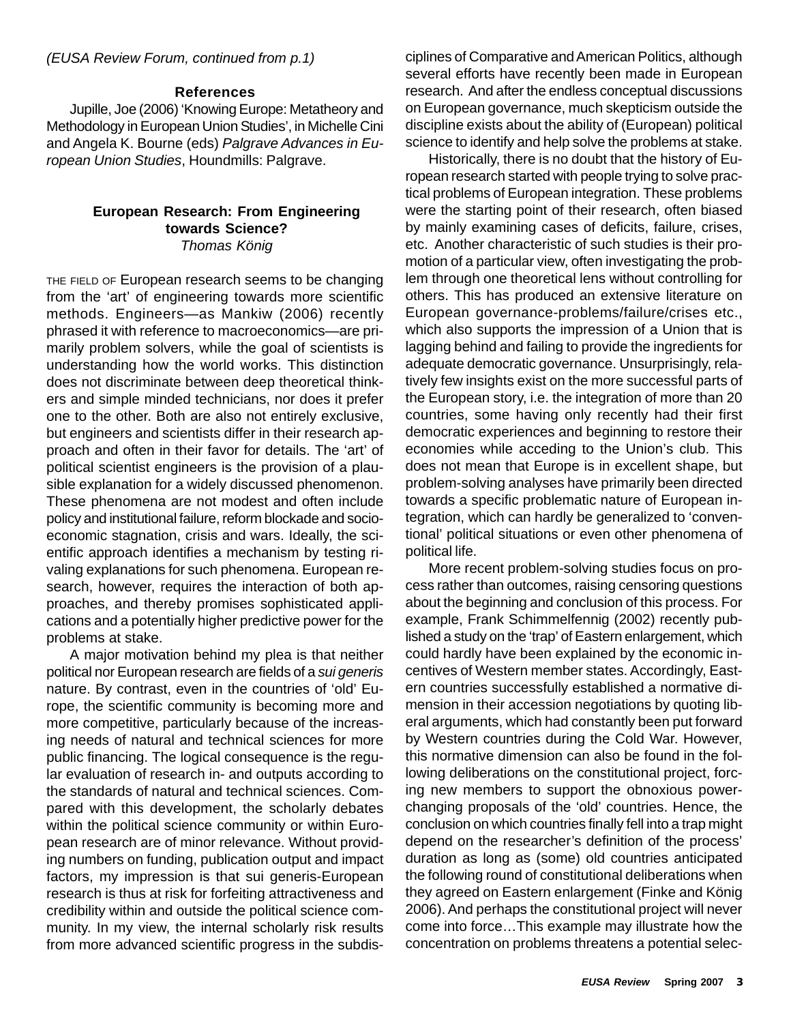#### *(EUSA Review Forum, continued from p.1)*

#### **References**

Jupille, Joe (2006) 'Knowing Europe: Metatheory and Methodology in European Union Studies', in Michelle Cini and Angela K. Bourne (eds) *Palgrave Advances in European Union Studies*, Houndmills: Palgrave.

#### **European Research: From Engineering towards Science?** *Thomas König*

THE FIELD OF European research seems to be changing from the 'art' of engineering towards more scientific methods. Engineers—as Mankiw (2006) recently phrased it with reference to macroeconomics—are primarily problem solvers, while the goal of scientists is understanding how the world works. This distinction does not discriminate between deep theoretical thinkers and simple minded technicians, nor does it prefer one to the other. Both are also not entirely exclusive, but engineers and scientists differ in their research approach and often in their favor for details. The 'art' of political scientist engineers is the provision of a plausible explanation for a widely discussed phenomenon. These phenomena are not modest and often include policy and institutional failure, reform blockade and socioeconomic stagnation, crisis and wars. Ideally, the scientific approach identifies a mechanism by testing rivaling explanations for such phenomena. European research, however, requires the interaction of both approaches, and thereby promises sophisticated applications and a potentially higher predictive power for the problems at stake.

A major motivation behind my plea is that neither political nor European research are fields of a *sui generis* nature. By contrast, even in the countries of 'old' Europe, the scientific community is becoming more and more competitive, particularly because of the increasing needs of natural and technical sciences for more public financing. The logical consequence is the regular evaluation of research in- and outputs according to the standards of natural and technical sciences. Compared with this development, the scholarly debates within the political science community or within European research are of minor relevance. Without providing numbers on funding, publication output and impact factors, my impression is that sui generis-European research is thus at risk for forfeiting attractiveness and credibility within and outside the political science community. In my view, the internal scholarly risk results from more advanced scientific progress in the subdis-

ciplines of Comparative and American Politics, although several efforts have recently been made in European research. And after the endless conceptual discussions on European governance, much skepticism outside the discipline exists about the ability of (European) political science to identify and help solve the problems at stake.

Historically, there is no doubt that the history of European research started with people trying to solve practical problems of European integration. These problems were the starting point of their research, often biased by mainly examining cases of deficits, failure, crises, etc. Another characteristic of such studies is their promotion of a particular view, often investigating the problem through one theoretical lens without controlling for others. This has produced an extensive literature on European governance-problems/failure/crises etc., which also supports the impression of a Union that is lagging behind and failing to provide the ingredients for adequate democratic governance. Unsurprisingly, relatively few insights exist on the more successful parts of the European story, i.e. the integration of more than 20 countries, some having only recently had their first democratic experiences and beginning to restore their economies while acceding to the Union's club. This does not mean that Europe is in excellent shape, but problem-solving analyses have primarily been directed towards a specific problematic nature of European integration, which can hardly be generalized to 'conventional' political situations or even other phenomena of political life.

More recent problem-solving studies focus on process rather than outcomes, raising censoring questions about the beginning and conclusion of this process. For example, Frank Schimmelfennig (2002) recently published a study on the 'trap' of Eastern enlargement, which could hardly have been explained by the economic incentives of Western member states. Accordingly, Eastern countries successfully established a normative dimension in their accession negotiations by quoting liberal arguments, which had constantly been put forward by Western countries during the Cold War. However, this normative dimension can also be found in the following deliberations on the constitutional project, forcing new members to support the obnoxious powerchanging proposals of the 'old' countries. Hence, the conclusion on which countries finally fell into a trap might depend on the researcher's definition of the process' duration as long as (some) old countries anticipated the following round of constitutional deliberations when they agreed on Eastern enlargement (Finke and König 2006). And perhaps the constitutional project will never come into force…This example may illustrate how the concentration on problems threatens a potential selec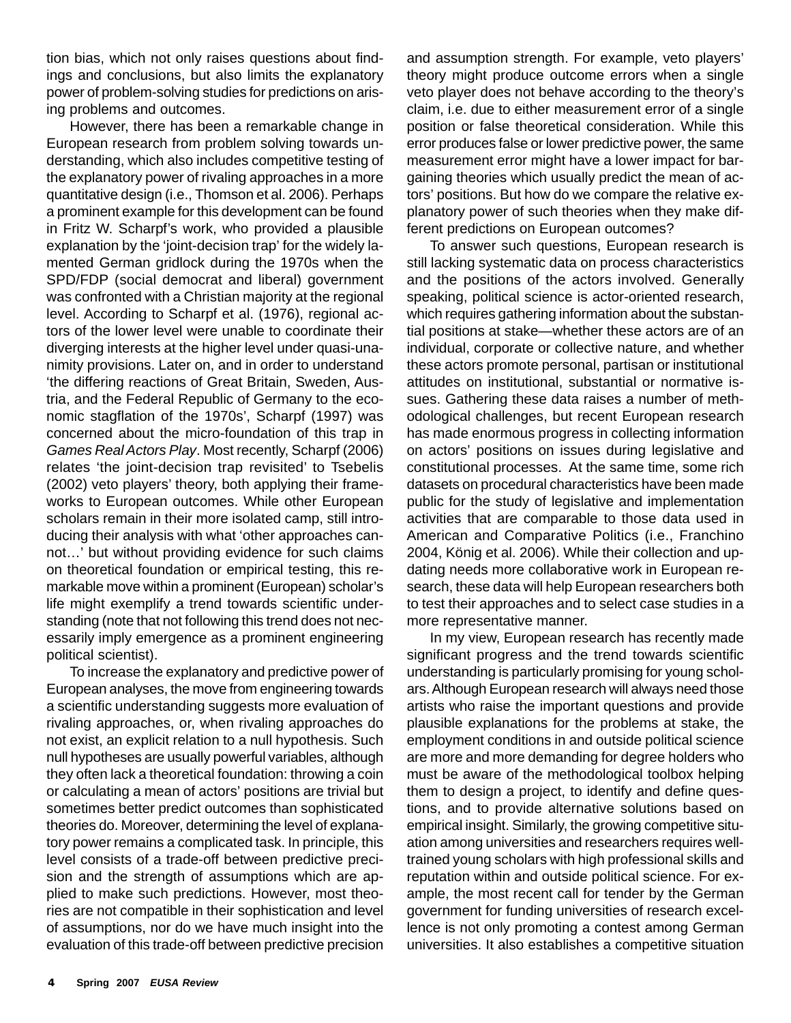tion bias, which not only raises questions about findings and conclusions, but also limits the explanatory power of problem-solving studies for predictions on arising problems and outcomes.

However, there has been a remarkable change in European research from problem solving towards understanding, which also includes competitive testing of the explanatory power of rivaling approaches in a more quantitative design (i.e., Thomson et al. 2006). Perhaps a prominent example for this development can be found in Fritz W. Scharpf's work, who provided a plausible explanation by the 'joint-decision trap' for the widely lamented German gridlock during the 1970s when the SPD/FDP (social democrat and liberal) government was confronted with a Christian majority at the regional level. According to Scharpf et al. (1976), regional actors of the lower level were unable to coordinate their diverging interests at the higher level under quasi-unanimity provisions. Later on, and in order to understand 'the differing reactions of Great Britain, Sweden, Austria, and the Federal Republic of Germany to the economic stagflation of the 1970s', Scharpf (1997) was concerned about the micro-foundation of this trap in *Games Real Actors Play*. Most recently, Scharpf (2006) relates 'the joint-decision trap revisited' to Tsebelis (2002) veto players' theory, both applying their frameworks to European outcomes. While other European scholars remain in their more isolated camp, still introducing their analysis with what 'other approaches cannot…' but without providing evidence for such claims on theoretical foundation or empirical testing, this remarkable move within a prominent (European) scholar's life might exemplify a trend towards scientific understanding (note that not following this trend does not necessarily imply emergence as a prominent engineering political scientist).

To increase the explanatory and predictive power of European analyses, the move from engineering towards a scientific understanding suggests more evaluation of rivaling approaches, or, when rivaling approaches do not exist, an explicit relation to a null hypothesis. Such null hypotheses are usually powerful variables, although they often lack a theoretical foundation: throwing a coin or calculating a mean of actors' positions are trivial but sometimes better predict outcomes than sophisticated theories do. Moreover, determining the level of explanatory power remains a complicated task. In principle, this level consists of a trade-off between predictive precision and the strength of assumptions which are applied to make such predictions. However, most theories are not compatible in their sophistication and level of assumptions, nor do we have much insight into the evaluation of this trade-off between predictive precision

and assumption strength. For example, veto players' theory might produce outcome errors when a single veto player does not behave according to the theory's claim, i.e. due to either measurement error of a single position or false theoretical consideration. While this error produces false or lower predictive power, the same measurement error might have a lower impact for bargaining theories which usually predict the mean of actors' positions. But how do we compare the relative explanatory power of such theories when they make different predictions on European outcomes?

To answer such questions, European research is still lacking systematic data on process characteristics and the positions of the actors involved. Generally speaking, political science is actor-oriented research, which requires gathering information about the substantial positions at stake—whether these actors are of an individual, corporate or collective nature, and whether these actors promote personal, partisan or institutional attitudes on institutional, substantial or normative issues. Gathering these data raises a number of methodological challenges, but recent European research has made enormous progress in collecting information on actors' positions on issues during legislative and constitutional processes. At the same time, some rich datasets on procedural characteristics have been made public for the study of legislative and implementation activities that are comparable to those data used in American and Comparative Politics (i.e., Franchino 2004, König et al. 2006). While their collection and updating needs more collaborative work in European research, these data will help European researchers both to test their approaches and to select case studies in a more representative manner.

In my view, European research has recently made significant progress and the trend towards scientific understanding is particularly promising for young scholars. Although European research will always need those artists who raise the important questions and provide plausible explanations for the problems at stake, the employment conditions in and outside political science are more and more demanding for degree holders who must be aware of the methodological toolbox helping them to design a project, to identify and define questions, and to provide alternative solutions based on empirical insight. Similarly, the growing competitive situation among universities and researchers requires welltrained young scholars with high professional skills and reputation within and outside political science. For example, the most recent call for tender by the German government for funding universities of research excellence is not only promoting a contest among German universities. It also establishes a competitive situation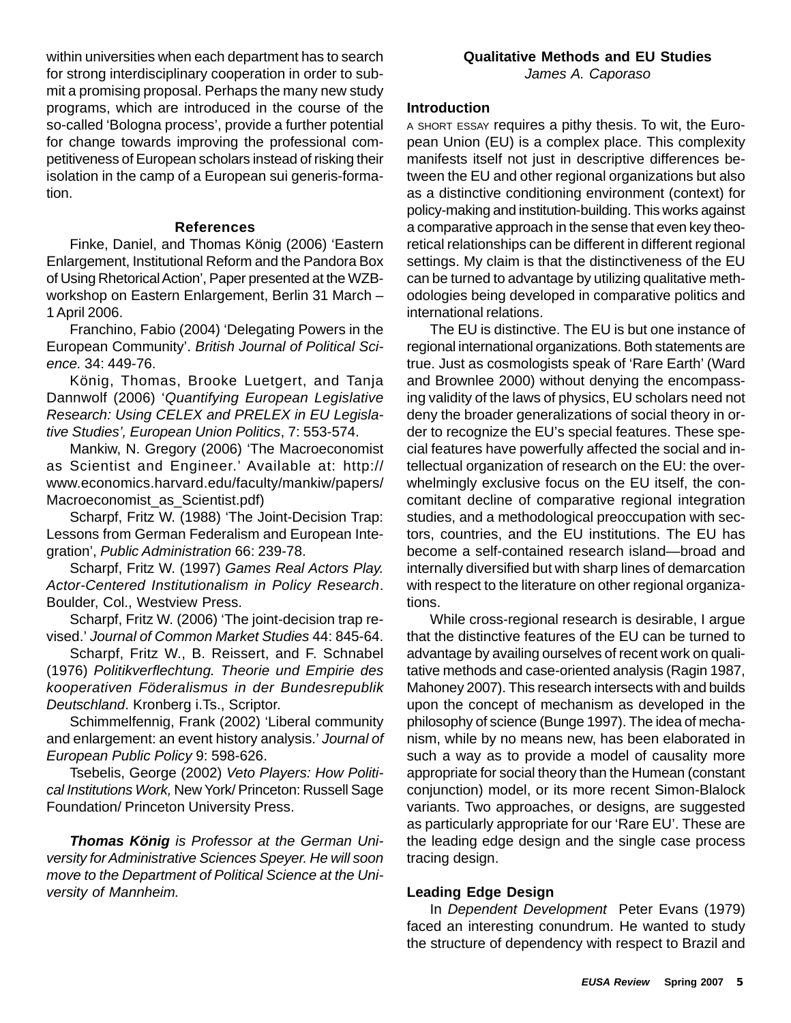within universities when each department has to search for strong interdisciplinary cooperation in order to submit a promising proposal. Perhaps the many new study programs, which are introduced in the course of the so-called 'Bologna process', provide a further potential for change towards improving the professional competitiveness of European scholars instead of risking their isolation in the camp of a European sui generis-formation.

#### **References**

Finke, Daniel, and Thomas König (2006) 'Eastern Enlargement, Institutional Reform and the Pandora Box of Using Rhetorical Action', Paper presented at the WZBworkshop on Eastern Enlargement, Berlin 31 March – 1 April 2006.

Franchino, Fabio (2004) 'Delegating Powers in the European Community'. *British Journal of Political Science.* 34: 449-76.

König, Thomas, Brooke Luetgert, and Tanja Dannwolf (2006) '*Quantifying European Legislative Research: Using CELEX and PRELEX in EU Legislative Studies', European Union Politics*, 7: 553-574.

Mankiw, N. Gregory (2006) 'The Macroeconomist as Scientist and Engineer.' Available at: http:// www.economics.harvard.edu/faculty/mankiw/papers/ Macroeconomist as Scientist.pdf)

Scharpf, Fritz W. (1988) 'The Joint-Decision Trap: Lessons from German Federalism and European Integration', *Public Administration* 66: 239-78.

Scharpf, Fritz W. (1997) *Games Real Actors Play. Actor-Centered Institutionalism in Policy Research*. Boulder, Col., Westview Press.

Scharpf, Fritz W. (2006) 'The joint-decision trap revised.' *Journal of Common Market Studies* 44: 845-64.

Scharpf, Fritz W., B. Reissert, and F. Schnabel (1976) *Politikverflechtung. Theorie und Empirie des kooperativen Föderalismus in der Bundesrepublik Deutschland*. Kronberg i.Ts., Scriptor.

Schimmelfennig, Frank (2002) 'Liberal community and enlargement: an event history analysis.' *Journal of European Public Policy* 9: 598-626.

Tsebelis, George (2002) *Veto Players: How Political Institutions Work,* New York/ Princeton: Russell Sage Foundation/ Princeton University Press.

*Thomas König is Professor at the German University for Administrative Sciences Speyer. He will soon move to the Department of Political Science at the University of Mannheim.*

#### **Introduction**

A SHORT ESSAY requires a pithy thesis. To wit, the European Union (EU) is a complex place. This complexity manifests itself not just in descriptive differences between the EU and other regional organizations but also as a distinctive conditioning environment (context) for policy-making and institution-building. This works against a comparative approach in the sense that even key theoretical relationships can be different in different regional settings. My claim is that the distinctiveness of the EU can be turned to advantage by utilizing qualitative methodologies being developed in comparative politics and international relations.

The EU is distinctive. The EU is but one instance of regional international organizations. Both statements are true. Just as cosmologists speak of 'Rare Earth' (Ward and Brownlee 2000) without denying the encompassing validity of the laws of physics, EU scholars need not deny the broader generalizations of social theory in order to recognize the EU's special features. These special features have powerfully affected the social and intellectual organization of research on the EU: the overwhelmingly exclusive focus on the EU itself, the concomitant decline of comparative regional integration studies, and a methodological preoccupation with sectors, countries, and the EU institutions. The EU has become a self-contained research island—broad and internally diversified but with sharp lines of demarcation with respect to the literature on other regional organizations.

While cross-regional research is desirable, I argue that the distinctive features of the EU can be turned to advantage by availing ourselves of recent work on qualitative methods and case-oriented analysis (Ragin 1987, Mahoney 2007). This research intersects with and builds upon the concept of mechanism as developed in the philosophy of science (Bunge 1997). The idea of mechanism, while by no means new, has been elaborated in such a way as to provide a model of causality more appropriate for social theory than the Humean (constant conjunction) model, or its more recent Simon-Blalock variants. Two approaches, or designs, are suggested as particularly appropriate for our 'Rare EU'. These are the leading edge design and the single case process tracing design.

#### **Leading Edge Design**

In *Dependent Development* Peter Evans (1979) faced an interesting conundrum. He wanted to study the structure of dependency with respect to Brazil and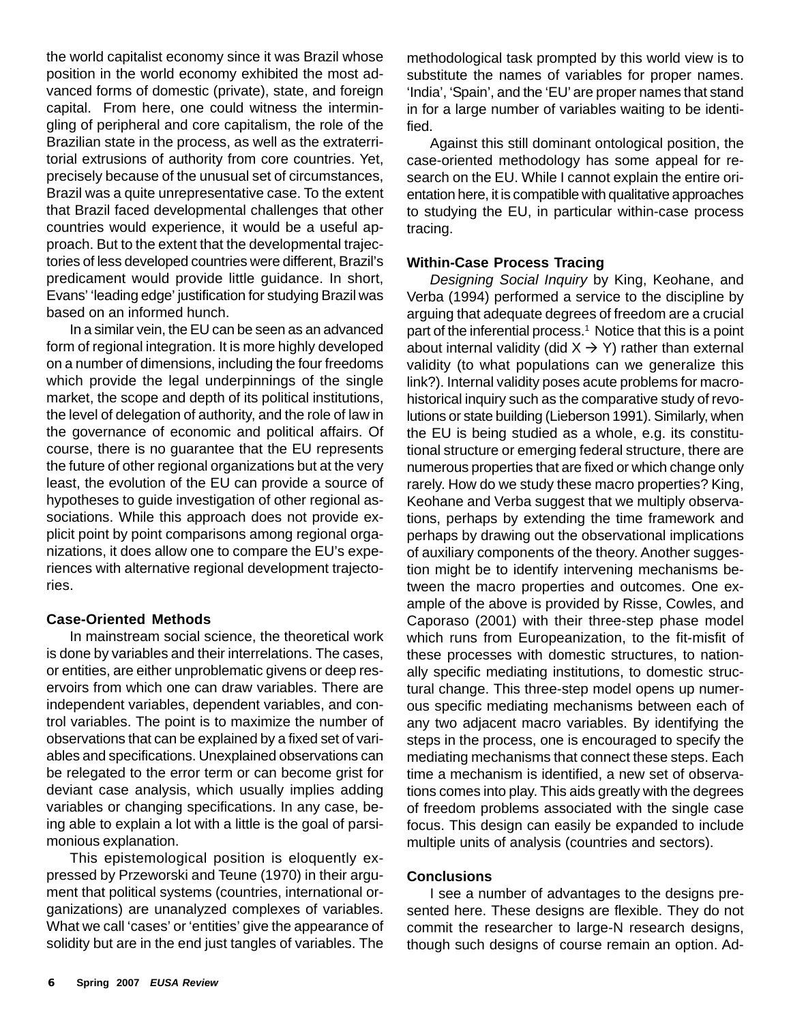the world capitalist economy since it was Brazil whose position in the world economy exhibited the most advanced forms of domestic (private), state, and foreign capital. From here, one could witness the intermingling of peripheral and core capitalism, the role of the Brazilian state in the process, as well as the extraterritorial extrusions of authority from core countries. Yet, precisely because of the unusual set of circumstances, Brazil was a quite unrepresentative case. To the extent that Brazil faced developmental challenges that other countries would experience, it would be a useful approach. But to the extent that the developmental trajectories of less developed countries were different, Brazil's predicament would provide little guidance. In short, Evans' 'leading edge' justification for studying Brazil was based on an informed hunch.

In a similar vein, the EU can be seen as an advanced form of regional integration. It is more highly developed on a number of dimensions, including the four freedoms which provide the legal underpinnings of the single market, the scope and depth of its political institutions, the level of delegation of authority, and the role of law in the governance of economic and political affairs. Of course, there is no guarantee that the EU represents the future of other regional organizations but at the very least, the evolution of the EU can provide a source of hypotheses to guide investigation of other regional associations. While this approach does not provide explicit point by point comparisons among regional organizations, it does allow one to compare the EU's experiences with alternative regional development trajectories.

#### **Case-Oriented Methods**

In mainstream social science, the theoretical work is done by variables and their interrelations. The cases, or entities, are either unproblematic givens or deep reservoirs from which one can draw variables. There are independent variables, dependent variables, and control variables. The point is to maximize the number of observations that can be explained by a fixed set of variables and specifications. Unexplained observations can be relegated to the error term or can become grist for deviant case analysis, which usually implies adding variables or changing specifications. In any case, being able to explain a lot with a little is the goal of parsimonious explanation.

This epistemological position is eloquently expressed by Przeworski and Teune (1970) in their argument that political systems (countries, international organizations) are unanalyzed complexes of variables. What we call 'cases' or 'entities' give the appearance of solidity but are in the end just tangles of variables. The

methodological task prompted by this world view is to substitute the names of variables for proper names. 'India', 'Spain', and the 'EU' are proper names that stand in for a large number of variables waiting to be identified.

Against this still dominant ontological position, the case-oriented methodology has some appeal for research on the EU. While I cannot explain the entire orientation here, it is compatible with qualitative approaches to studying the EU, in particular within-case process tracing.

#### **Within-Case Process Tracing**

*Designing Social Inquiry* by King, Keohane, and Verba (1994) performed a service to the discipline by arguing that adequate degrees of freedom are a crucial part of the inferential process.<sup>1</sup> Notice that this is a point about internal validity (did  $X \rightarrow Y$ ) rather than external validity (to what populations can we generalize this link?). Internal validity poses acute problems for macrohistorical inquiry such as the comparative study of revolutions or state building (Lieberson 1991). Similarly, when the EU is being studied as a whole, e.g. its constitutional structure or emerging federal structure, there are numerous properties that are fixed or which change only rarely. How do we study these macro properties? King, Keohane and Verba suggest that we multiply observations, perhaps by extending the time framework and perhaps by drawing out the observational implications of auxiliary components of the theory. Another suggestion might be to identify intervening mechanisms between the macro properties and outcomes. One example of the above is provided by Risse, Cowles, and Caporaso (2001) with their three-step phase model which runs from Europeanization, to the fit-misfit of these processes with domestic structures, to nationally specific mediating institutions, to domestic structural change. This three-step model opens up numerous specific mediating mechanisms between each of any two adjacent macro variables. By identifying the steps in the process, one is encouraged to specify the mediating mechanisms that connect these steps. Each time a mechanism is identified, a new set of observations comes into play. This aids greatly with the degrees of freedom problems associated with the single case focus. This design can easily be expanded to include multiple units of analysis (countries and sectors).

#### **Conclusions**

I see a number of advantages to the designs presented here. These designs are flexible. They do not commit the researcher to large-N research designs, though such designs of course remain an option. Ad-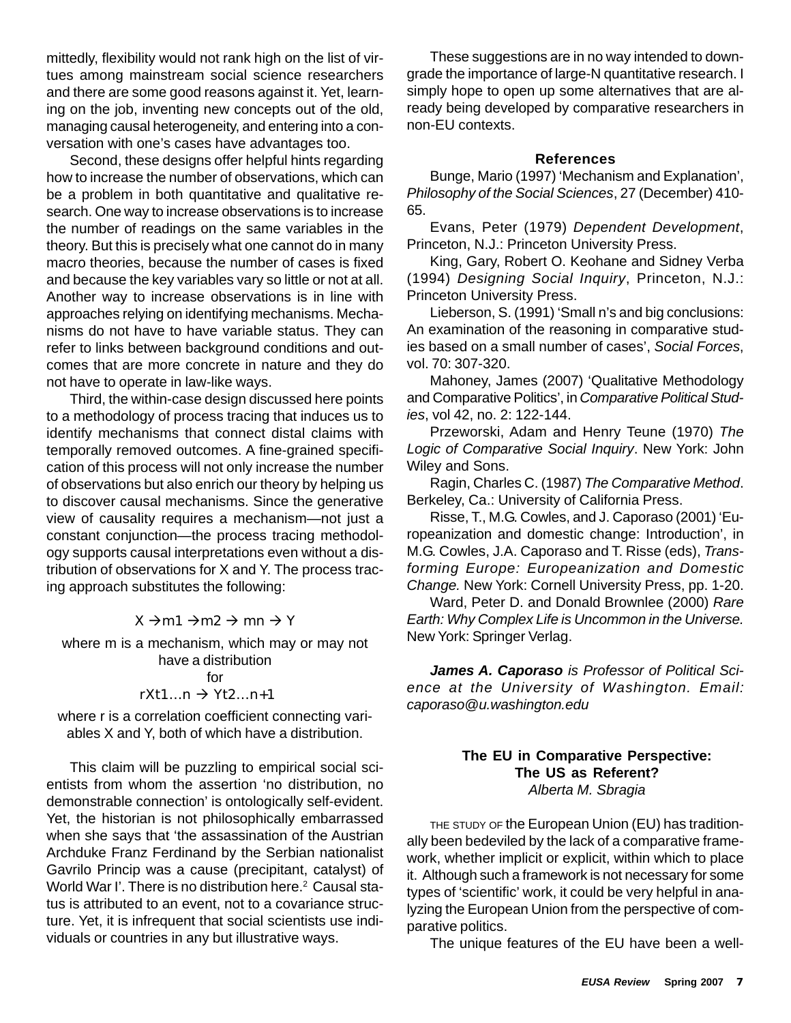mittedly, flexibility would not rank high on the list of virtues among mainstream social science researchers and there are some good reasons against it. Yet, learning on the job, inventing new concepts out of the old, managing causal heterogeneity, and entering into a conversation with one's cases have advantages too.

Second, these designs offer helpful hints regarding how to increase the number of observations, which can be a problem in both quantitative and qualitative research. One way to increase observations is to increase the number of readings on the same variables in the theory. But this is precisely what one cannot do in many macro theories, because the number of cases is fixed and because the key variables vary so little or not at all. Another way to increase observations is in line with approaches relying on identifying mechanisms. Mechanisms do not have to have variable status. They can refer to links between background conditions and outcomes that are more concrete in nature and they do not have to operate in law-like ways.

Third, the within-case design discussed here points to a methodology of process tracing that induces us to identify mechanisms that connect distal claims with temporally removed outcomes. A fine-grained specification of this process will not only increase the number of observations but also enrich our theory by helping us to discover causal mechanisms. Since the generative view of causality requires a mechanism—not just a constant conjunction—the process tracing methodology supports causal interpretations even without a distribution of observations for X and Y. The process tracing approach substitutes the following:

# $X \rightarrow m1 \rightarrow m2 \rightarrow mn \rightarrow Y$

where m is a mechanism, which may or may not have a distribution for

# $rXt1...n \rightarrow Yt2...n+1$

where r is a correlation coefficient connecting variables X and Y, both of which have a distribution.

This claim will be puzzling to empirical social scientists from whom the assertion 'no distribution, no demonstrable connection' is ontologically self-evident. Yet, the historian is not philosophically embarrassed when she says that 'the assassination of the Austrian Archduke Franz Ferdinand by the Serbian nationalist Gavrilo Princip was a cause (precipitant, catalyst) of World War I'. There is no distribution here.<sup>2</sup> Causal status is attributed to an event, not to a covariance structure. Yet, it is infrequent that social scientists use individuals or countries in any but illustrative ways.

These suggestions are in no way intended to downgrade the importance of large-N quantitative research. I simply hope to open up some alternatives that are already being developed by comparative researchers in non-EU contexts.

#### **References**

Bunge, Mario (1997) 'Mechanism and Explanation', *Philosophy of the Social Sciences*, 27 (December) 410- 65.

Evans, Peter (1979) *Dependent Development*, Princeton, N.J.: Princeton University Press.

King, Gary, Robert O. Keohane and Sidney Verba (1994) *Designing Social Inquiry*, Princeton, N.J.: Princeton University Press.

Lieberson, S. (1991) 'Small n's and big conclusions: An examination of the reasoning in comparative studies based on a small number of cases', *Social Forces*, vol. 70: 307-320.

Mahoney, James (2007) 'Qualitative Methodology and Comparative Politics', in *Comparative Political Studies*, vol 42, no. 2: 122-144.

Przeworski, Adam and Henry Teune (1970) *The Logic of Comparative Social Inquiry*. New York: John Wiley and Sons.

Ragin, Charles C. (1987) *The Comparative Method*. Berkeley, Ca.: University of California Press.

Risse, T., M.G. Cowles, and J. Caporaso (2001) 'Europeanization and domestic change: Introduction', in M.G. Cowles, J.A. Caporaso and T. Risse (eds), *Transforming Europe: Europeanization and Domestic Change.* New York: Cornell University Press, pp. 1-20.

Ward, Peter D. and Donald Brownlee (2000) *Rare Earth: Why Complex Life is Uncommon in the Universe.* New York: Springer Verlag.

*James A. Caporaso is Professor of Political Science at the University of Washington. Email: caporaso@u.washington.edu*

#### **The EU in Comparative Perspective: The US as Referent?** *Alberta M. Sbragia*

THE STUDY OF the European Union (EU) has traditionally been bedeviled by the lack of a comparative framework, whether implicit or explicit, within which to place it. Although such a framework is not necessary for some types of 'scientific' work, it could be very helpful in analyzing the European Union from the perspective of comparative politics.

The unique features of the EU have been a well-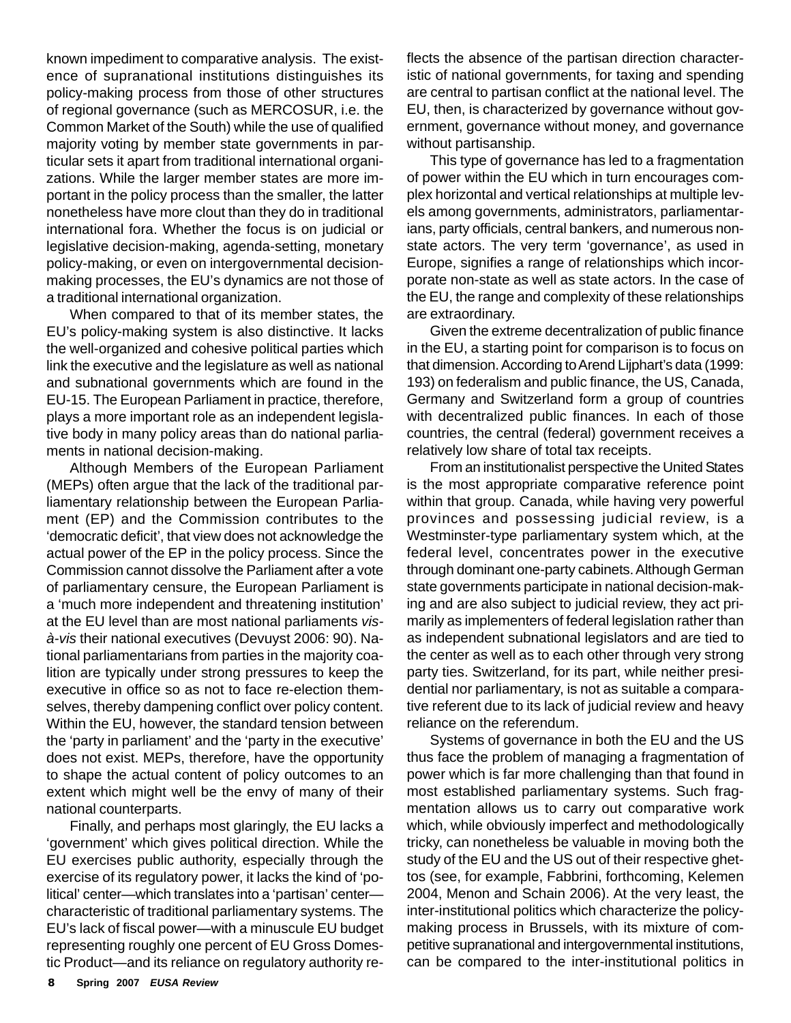known impediment to comparative analysis. The existence of supranational institutions distinguishes its policy-making process from those of other structures of regional governance (such as MERCOSUR, i.e. the Common Market of the South) while the use of qualified majority voting by member state governments in particular sets it apart from traditional international organizations. While the larger member states are more important in the policy process than the smaller, the latter nonetheless have more clout than they do in traditional international fora. Whether the focus is on judicial or legislative decision-making, agenda-setting, monetary policy-making, or even on intergovernmental decisionmaking processes, the EU's dynamics are not those of a traditional international organization.

When compared to that of its member states, the EU's policy-making system is also distinctive. It lacks the well-organized and cohesive political parties which link the executive and the legislature as well as national and subnational governments which are found in the EU-15. The European Parliament in practice, therefore, plays a more important role as an independent legislative body in many policy areas than do national parliaments in national decision-making.

Although Members of the European Parliament (MEPs) often argue that the lack of the traditional parliamentary relationship between the European Parliament (EP) and the Commission contributes to the 'democratic deficit', that view does not acknowledge the actual power of the EP in the policy process. Since the Commission cannot dissolve the Parliament after a vote of parliamentary censure, the European Parliament is a 'much more independent and threatening institution' at the EU level than are most national parliaments *visà-vis* their national executives (Devuyst 2006: 90). National parliamentarians from parties in the majority coalition are typically under strong pressures to keep the executive in office so as not to face re-election themselves, thereby dampening conflict over policy content. Within the EU, however, the standard tension between the 'party in parliament' and the 'party in the executive' does not exist. MEPs, therefore, have the opportunity to shape the actual content of policy outcomes to an extent which might well be the envy of many of their national counterparts.

Finally, and perhaps most glaringly, the EU lacks a 'government' which gives political direction. While the EU exercises public authority, especially through the exercise of its regulatory power, it lacks the kind of 'political' center—which translates into a 'partisan' center characteristic of traditional parliamentary systems. The EU's lack of fiscal power—with a minuscule EU budget representing roughly one percent of EU Gross Domestic Product—and its reliance on regulatory authority reflects the absence of the partisan direction characteristic of national governments, for taxing and spending are central to partisan conflict at the national level. The EU, then, is characterized by governance without government, governance without money, and governance without partisanship.

This type of governance has led to a fragmentation of power within the EU which in turn encourages complex horizontal and vertical relationships at multiple levels among governments, administrators, parliamentarians, party officials, central bankers, and numerous nonstate actors. The very term 'governance', as used in Europe, signifies a range of relationships which incorporate non-state as well as state actors. In the case of the EU, the range and complexity of these relationships are extraordinary.

Given the extreme decentralization of public finance in the EU, a starting point for comparison is to focus on that dimension. According to Arend Lijphart's data (1999: 193) on federalism and public finance, the US, Canada, Germany and Switzerland form a group of countries with decentralized public finances. In each of those countries, the central (federal) government receives a relatively low share of total tax receipts.

From an institutionalist perspective the United States is the most appropriate comparative reference point within that group. Canada, while having very powerful provinces and possessing judicial review, is a Westminster-type parliamentary system which, at the federal level, concentrates power in the executive through dominant one-party cabinets. Although German state governments participate in national decision-making and are also subject to judicial review, they act primarily as implementers of federal legislation rather than as independent subnational legislators and are tied to the center as well as to each other through very strong party ties. Switzerland, for its part, while neither presidential nor parliamentary, is not as suitable a comparative referent due to its lack of judicial review and heavy reliance on the referendum.

Systems of governance in both the EU and the US thus face the problem of managing a fragmentation of power which is far more challenging than that found in most established parliamentary systems. Such fragmentation allows us to carry out comparative work which, while obviously imperfect and methodologically tricky, can nonetheless be valuable in moving both the study of the EU and the US out of their respective ghettos (see, for example, Fabbrini, forthcoming, Kelemen 2004, Menon and Schain 2006). At the very least, the inter-institutional politics which characterize the policymaking process in Brussels, with its mixture of competitive supranational and intergovernmental institutions, can be compared to the inter-institutional politics in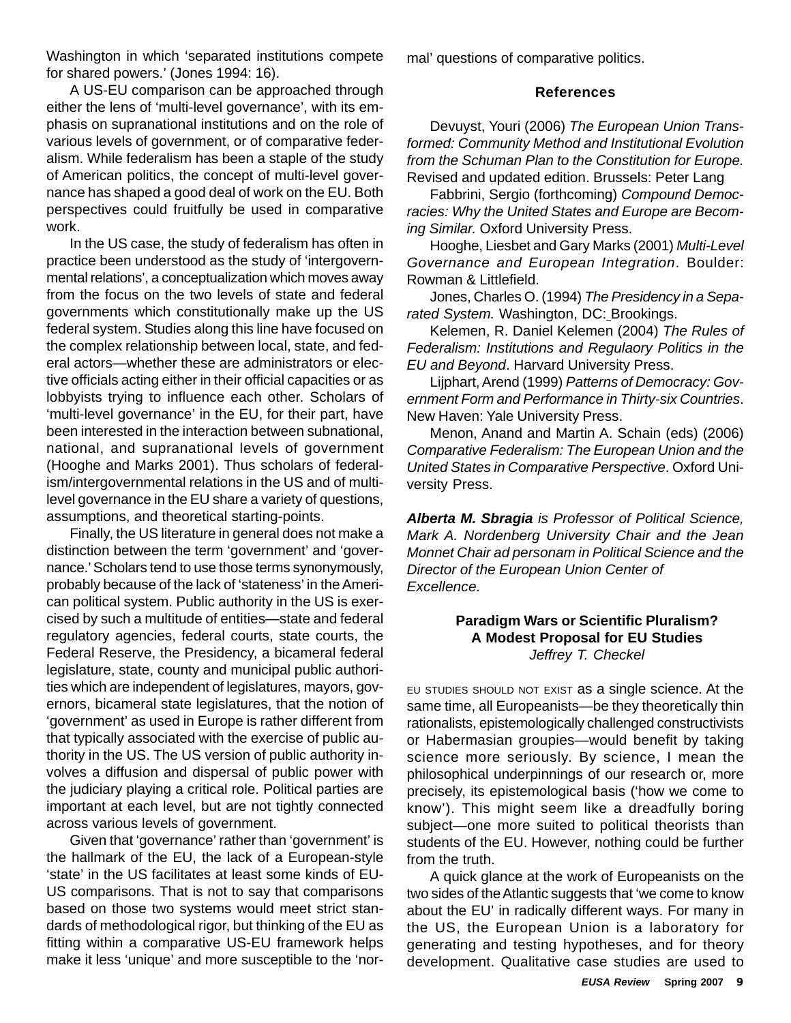Washington in which 'separated institutions compete for shared powers.' (Jones 1994: 16).

A US-EU comparison can be approached through either the lens of 'multi-level governance', with its emphasis on supranational institutions and on the role of various levels of government, or of comparative federalism. While federalism has been a staple of the study of American politics, the concept of multi-level governance has shaped a good deal of work on the EU. Both perspectives could fruitfully be used in comparative work.

In the US case, the study of federalism has often in practice been understood as the study of 'intergovernmental relations', a conceptualization which moves away from the focus on the two levels of state and federal governments which constitutionally make up the US federal system. Studies along this line have focused on the complex relationship between local, state, and federal actors—whether these are administrators or elective officials acting either in their official capacities or as lobbyists trying to influence each other. Scholars of 'multi-level governance' in the EU, for their part, have been interested in the interaction between subnational, national, and supranational levels of government (Hooghe and Marks 2001). Thus scholars of federalism/intergovernmental relations in the US and of multilevel governance in the EU share a variety of questions, assumptions, and theoretical starting-points.

Finally, the US literature in general does not make a distinction between the term 'government' and 'governance.' Scholars tend to use those terms synonymously, probably because of the lack of 'stateness' in the American political system. Public authority in the US is exercised by such a multitude of entities—state and federal regulatory agencies, federal courts, state courts, the Federal Reserve, the Presidency, a bicameral federal legislature, state, county and municipal public authorities which are independent of legislatures, mayors, governors, bicameral state legislatures, that the notion of 'government' as used in Europe is rather different from that typically associated with the exercise of public authority in the US. The US version of public authority involves a diffusion and dispersal of public power with the judiciary playing a critical role. Political parties are important at each level, but are not tightly connected across various levels of government.

Given that 'governance' rather than 'government' is the hallmark of the EU, the lack of a European-style 'state' in the US facilitates at least some kinds of EU-US comparisons. That is not to say that comparisons based on those two systems would meet strict standards of methodological rigor, but thinking of the EU as fitting within a comparative US-EU framework helps make it less 'unique' and more susceptible to the 'normal' questions of comparative politics.

#### **References**

Devuyst, Youri (2006) *The European Union Transformed: Community Method and Institutional Evolution from the Schuman Plan to the Constitution for Europe.* Revised and updated edition. Brussels: Peter Lang

Fabbrini, Sergio (forthcoming) *Compound Democracies: Why the United States and Europe are Becoming Similar.* Oxford University Press.

Hooghe, Liesbet and Gary Marks (2001) *Multi-Level Governance and European Integration*. Boulder: Rowman & Littlefield.

Jones, Charles O. (1994) *The Presidency in a Separated System.* Washington, DC: Brookings.

Kelemen, R. Daniel Kelemen (2004) *The Rules of Federalism: Institutions and Regulaory Politics in the EU and Beyond*. Harvard University Press.

Lijphart, Arend (1999) *Patterns of Democracy: Government Form and Performance in Thirty-six Countries*. New Haven: Yale University Press.

Menon, Anand and Martin A. Schain (eds) (2006) *Comparative Federalism: The European Union and the United States in Comparative Perspective*. Oxford University Press.

*Alberta M. Sbragia is Professor of Political Science, Mark A. Nordenberg University Chair and the Jean Monnet Chair ad personam in Political Science and the Director of the European Union Center of Excellence.*

# **Paradigm Wars or Scientific Pluralism? A Modest Proposal for EU Studies** *Jeffrey T. Checkel*

EU STUDIES SHOULD NOT EXIST as a single science. At the same time, all Europeanists—be they theoretically thin rationalists, epistemologically challenged constructivists or Habermasian groupies—would benefit by taking science more seriously. By science, I mean the philosophical underpinnings of our research or, more precisely, its epistemological basis ('how we come to know'). This might seem like a dreadfully boring subject—one more suited to political theorists than students of the EU. However, nothing could be further from the truth.

A quick glance at the work of Europeanists on the two sides of the Atlantic suggests that 'we come to know about the EU' in radically different ways. For many in the US, the European Union is a laboratory for generating and testing hypotheses, and for theory development. Qualitative case studies are used to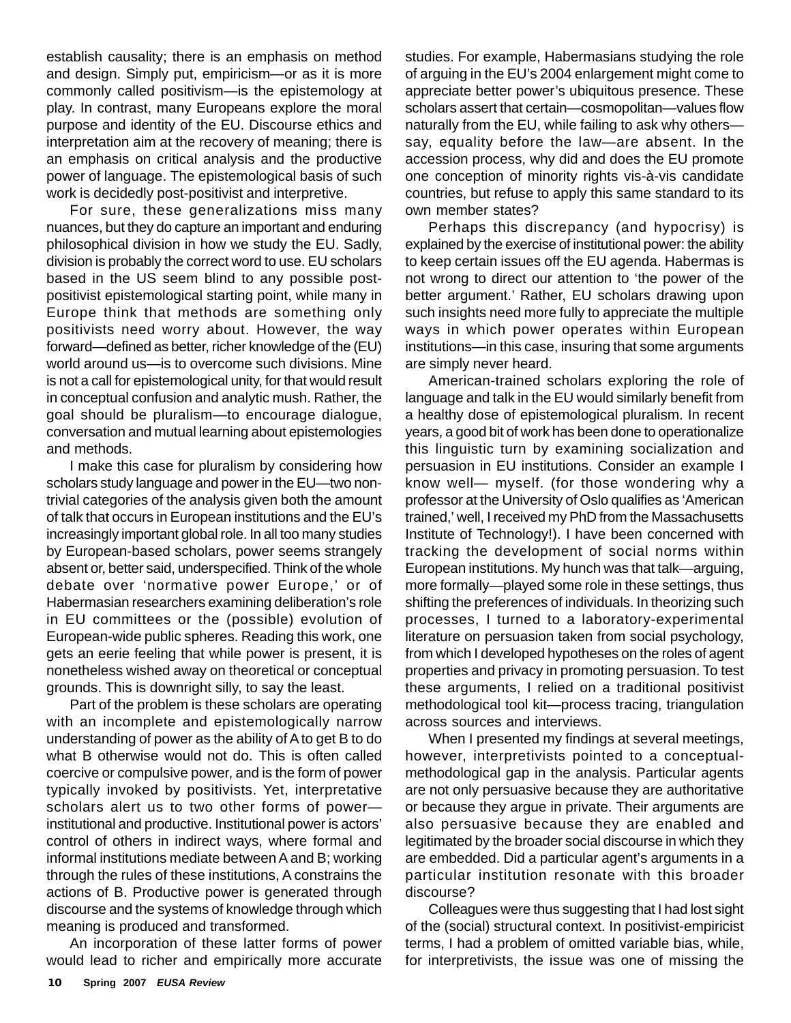establish causality; there is an emphasis on method and design. Simply put, empiricism—or as it is more commonly called positivism—is the epistemology at play. In contrast, many Europeans explore the moral purpose and identity of the EU. Discourse ethics and interpretation aim at the recovery of meaning; there is an emphasis on critical analysis and the productive power of language. The epistemological basis of such work is decidedly post-positivist and interpretive.

For sure, these generalizations miss many nuances, but they do capture an important and enduring philosophical division in how we study the EU. Sadly, division is probably the correct word to use. EU scholars based in the US seem blind to any possible postpositivist epistemological starting point, while many in Europe think that methods are something only positivists need worry about. However, the way forward—defined as better, richer knowledge of the (EU) world around us—is to overcome such divisions. Mine is not a call for epistemological unity, for that would result in conceptual confusion and analytic mush. Rather, the goal should be pluralism—to encourage dialogue, conversation and mutual learning about epistemologies and methods.

I make this case for pluralism by considering how scholars study language and power in the EU—two nontrivial categories of the analysis given both the amount of talk that occurs in European institutions and the EU's increasingly important global role. In all too many studies by European-based scholars, power seems strangely absent or, better said, underspecified. Think of the whole debate over 'normative power Europe,' or of Habermasian researchers examining deliberation's role in EU committees or the (possible) evolution of European-wide public spheres. Reading this work, one gets an eerie feeling that while power is present, it is nonetheless wished away on theoretical or conceptual grounds. This is downright silly, to say the least.

Part of the problem is these scholars are operating with an incomplete and epistemologically narrow understanding of power as the ability of A to get B to do what B otherwise would not do. This is often called coercive or compulsive power, and is the form of power typically invoked by positivists. Yet, interpretative scholars alert us to two other forms of power institutional and productive. Institutional power is actors' control of others in indirect ways, where formal and informal institutions mediate between A and B; working through the rules of these institutions, A constrains the actions of B. Productive power is generated through discourse and the systems of knowledge through which meaning is produced and transformed.

An incorporation of these latter forms of power would lead to richer and empirically more accurate studies. For example, Habermasians studying the role of arguing in the EU's 2004 enlargement might come to appreciate better power's ubiquitous presence. These scholars assert that certain—cosmopolitan—values flow naturally from the EU, while failing to ask why others say, equality before the law—are absent. In the accession process, why did and does the EU promote one conception of minority rights vis-à-vis candidate countries, but refuse to apply this same standard to its own member states?

Perhaps this discrepancy (and hypocrisy) is explained by the exercise of institutional power: the ability to keep certain issues off the EU agenda. Habermas is not wrong to direct our attention to 'the power of the better argument.' Rather, EU scholars drawing upon such insights need more fully to appreciate the multiple ways in which power operates within European institutions—in this case, insuring that some arguments are simply never heard.

American-trained scholars exploring the role of language and talk in the EU would similarly benefit from a healthy dose of epistemological pluralism. In recent years, a good bit of work has been done to operationalize this linguistic turn by examining socialization and persuasion in EU institutions. Consider an example I know well— myself. (for those wondering why a professor at the University of Oslo qualifies as 'American trained,' well, I received my PhD from the Massachusetts Institute of Technology!). I have been concerned with tracking the development of social norms within European institutions. My hunch was that talk—arguing, more formally—played some role in these settings, thus shifting the preferences of individuals. In theorizing such processes, I turned to a laboratory-experimental literature on persuasion taken from social psychology, from which I developed hypotheses on the roles of agent properties and privacy in promoting persuasion. To test these arguments, I relied on a traditional positivist methodological tool kit—process tracing, triangulation across sources and interviews.

When I presented my findings at several meetings, however, interpretivists pointed to a conceptualmethodological gap in the analysis. Particular agents are not only persuasive because they are authoritative or because they argue in private. Their arguments are also persuasive because they are enabled and legitimated by the broader social discourse in which they are embedded. Did a particular agent's arguments in a particular institution resonate with this broader discourse?

Colleagues were thus suggesting that I had lost sight of the (social) structural context. In positivist-empiricist terms, I had a problem of omitted variable bias, while, for interpretivists, the issue was one of missing the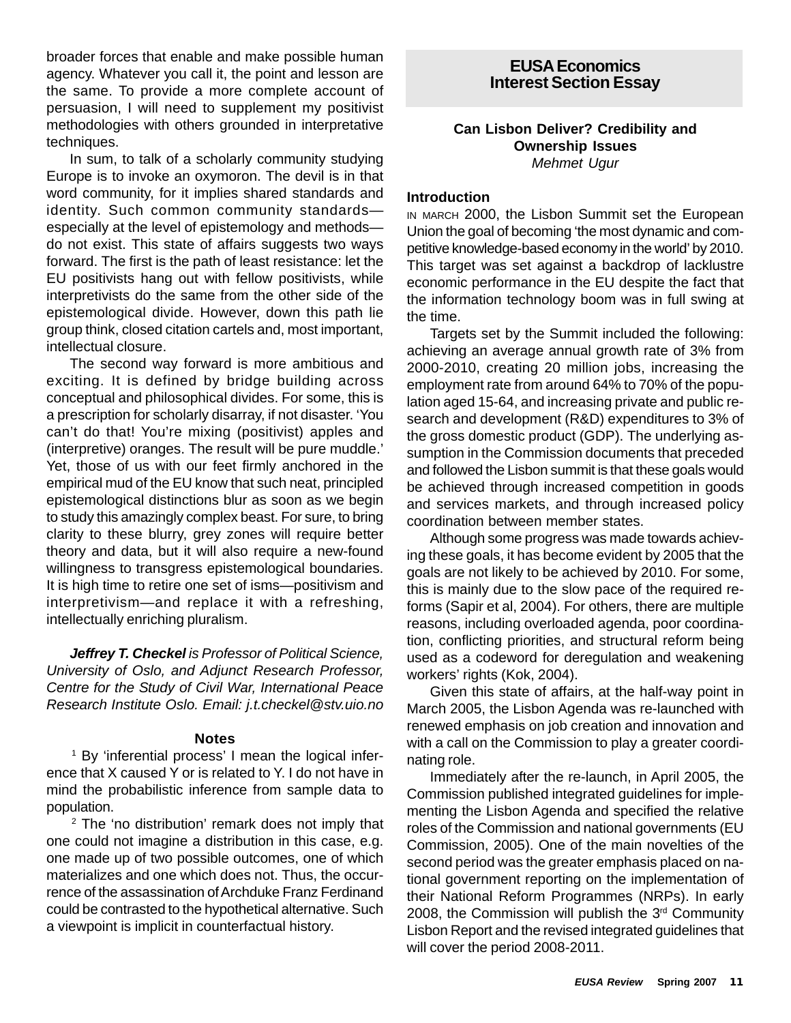broader forces that enable and make possible human agency. Whatever you call it, the point and lesson are the same. To provide a more complete account of persuasion, I will need to supplement my positivist methodologies with others grounded in interpretative techniques.

In sum, to talk of a scholarly community studying Europe is to invoke an oxymoron. The devil is in that word community, for it implies shared standards and identity. Such common community standards especially at the level of epistemology and methods do not exist. This state of affairs suggests two ways forward. The first is the path of least resistance: let the EU positivists hang out with fellow positivists, while interpretivists do the same from the other side of the epistemological divide. However, down this path lie group think, closed citation cartels and, most important, intellectual closure.

The second way forward is more ambitious and exciting. It is defined by bridge building across conceptual and philosophical divides. For some, this is a prescription for scholarly disarray, if not disaster. 'You can't do that! You're mixing (positivist) apples and (interpretive) oranges. The result will be pure muddle.' Yet, those of us with our feet firmly anchored in the empirical mud of the EU know that such neat, principled epistemological distinctions blur as soon as we begin to study this amazingly complex beast. For sure, to bring clarity to these blurry, grey zones will require better theory and data, but it will also require a new-found willingness to transgress epistemological boundaries. It is high time to retire one set of isms—positivism and interpretivism—and replace it with a refreshing, intellectually enriching pluralism.

*Jeffrey T. Checkel is Professor of Political Science, University of Oslo, and Adjunct Research Professor, Centre for the Study of Civil War, International Peace Research Institute Oslo. Email: j.t.checkel@stv.uio.no*

#### **Notes**

1 By 'inferential process' I mean the logical inference that X caused Y or is related to Y. I do not have in mind the probabilistic inference from sample data to population.

<sup>2</sup> The 'no distribution' remark does not imply that one could not imagine a distribution in this case, e.g. one made up of two possible outcomes, one of which materializes and one which does not. Thus, the occurrence of the assassination of Archduke Franz Ferdinand could be contrasted to the hypothetical alternative. Such a viewpoint is implicit in counterfactual history.

# **EUSA Economics Interest Section Essay**

#### **Can Lisbon Deliver? Credibility and Ownership Issues** *Mehmet Ugur*

#### **Introduction**

IN MARCH 2000, the Lisbon Summit set the European Union the goal of becoming 'the most dynamic and competitive knowledge-based economy in the world' by 2010. This target was set against a backdrop of lacklustre economic performance in the EU despite the fact that the information technology boom was in full swing at the time.

Targets set by the Summit included the following: achieving an average annual growth rate of 3% from 2000-2010, creating 20 million jobs, increasing the employment rate from around 64% to 70% of the population aged 15-64, and increasing private and public research and development (R&D) expenditures to 3% of the gross domestic product (GDP). The underlying assumption in the Commission documents that preceded and followed the Lisbon summit is that these goals would be achieved through increased competition in goods and services markets, and through increased policy coordination between member states.

Although some progress was made towards achieving these goals, it has become evident by 2005 that the goals are not likely to be achieved by 2010. For some, this is mainly due to the slow pace of the required reforms (Sapir et al, 2004). For others, there are multiple reasons, including overloaded agenda, poor coordination, conflicting priorities, and structural reform being used as a codeword for deregulation and weakening workers' rights (Kok, 2004).

Given this state of affairs, at the half-way point in March 2005, the Lisbon Agenda was re-launched with renewed emphasis on job creation and innovation and with a call on the Commission to play a greater coordinating role.

Immediately after the re-launch, in April 2005, the Commission published integrated guidelines for implementing the Lisbon Agenda and specified the relative roles of the Commission and national governments (EU Commission, 2005). One of the main novelties of the second period was the greater emphasis placed on national government reporting on the implementation of their National Reform Programmes (NRPs). In early 2008, the Commission will publish the 3<sup>rd</sup> Community Lisbon Report and the revised integrated guidelines that will cover the period 2008-2011.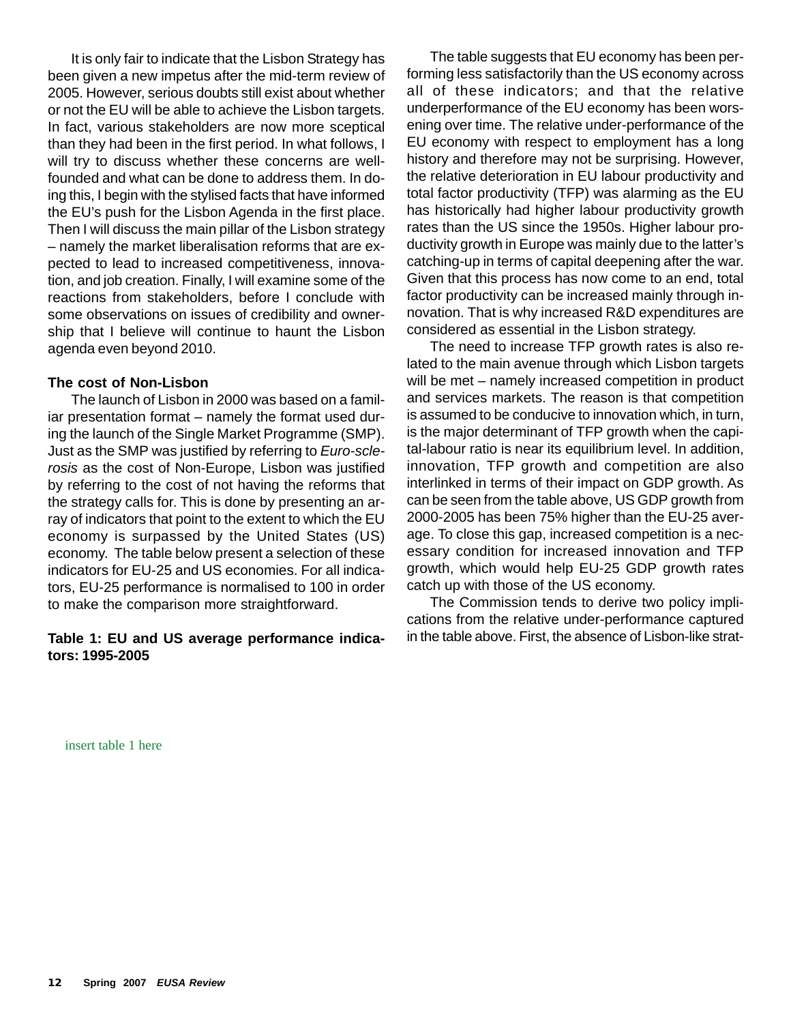It is only fair to indicate that the Lisbon Strategy has been given a new impetus after the mid-term review of 2005. However, serious doubts still exist about whether or not the EU will be able to achieve the Lisbon targets. In fact, various stakeholders are now more sceptical than they had been in the first period. In what follows, I will try to discuss whether these concerns are wellfounded and what can be done to address them. In doing this, I begin with the stylised facts that have informed the EU's push for the Lisbon Agenda in the first place. Then I will discuss the main pillar of the Lisbon strategy – namely the market liberalisation reforms that are expected to lead to increased competitiveness, innovation, and job creation. Finally, I will examine some of the reactions from stakeholders, before I conclude with some observations on issues of credibility and ownership that I believe will continue to haunt the Lisbon agenda even beyond 2010.

#### **The cost of Non-Lisbon**

The launch of Lisbon in 2000 was based on a familiar presentation format – namely the format used during the launch of the Single Market Programme (SMP). Just as the SMP was justified by referring to *Euro-sclerosis* as the cost of Non-Europe, Lisbon was justified by referring to the cost of not having the reforms that the strategy calls for. This is done by presenting an array of indicators that point to the extent to which the EU economy is surpassed by the United States (US) economy. The table below present a selection of these indicators for EU-25 and US economies. For all indicators, EU-25 performance is normalised to 100 in order to make the comparison more straightforward.

# **Table 1: EU and US average performance indicators: 1995-2005**

The table suggests that EU economy has been performing less satisfactorily than the US economy across all of these indicators; and that the relative underperformance of the EU economy has been worsening over time. The relative under-performance of the EU economy with respect to employment has a long history and therefore may not be surprising. However, the relative deterioration in EU labour productivity and total factor productivity (TFP) was alarming as the EU has historically had higher labour productivity growth rates than the US since the 1950s. Higher labour productivity growth in Europe was mainly due to the latter's catching-up in terms of capital deepening after the war. Given that this process has now come to an end, total factor productivity can be increased mainly through innovation. That is why increased R&D expenditures are considered as essential in the Lisbon strategy.

The need to increase TFP growth rates is also related to the main avenue through which Lisbon targets will be met – namely increased competition in product and services markets. The reason is that competition is assumed to be conducive to innovation which, in turn, is the major determinant of TFP growth when the capital-labour ratio is near its equilibrium level. In addition, innovation, TFP growth and competition are also interlinked in terms of their impact on GDP growth. As can be seen from the table above, US GDP growth from 2000-2005 has been 75% higher than the EU-25 average. To close this gap, increased competition is a necessary condition for increased innovation and TFP growth, which would help EU-25 GDP growth rates catch up with those of the US economy.

The Commission tends to derive two policy implications from the relative under-performance captured in the table above. First, the absence of Lisbon-like strat-

insert table 1 here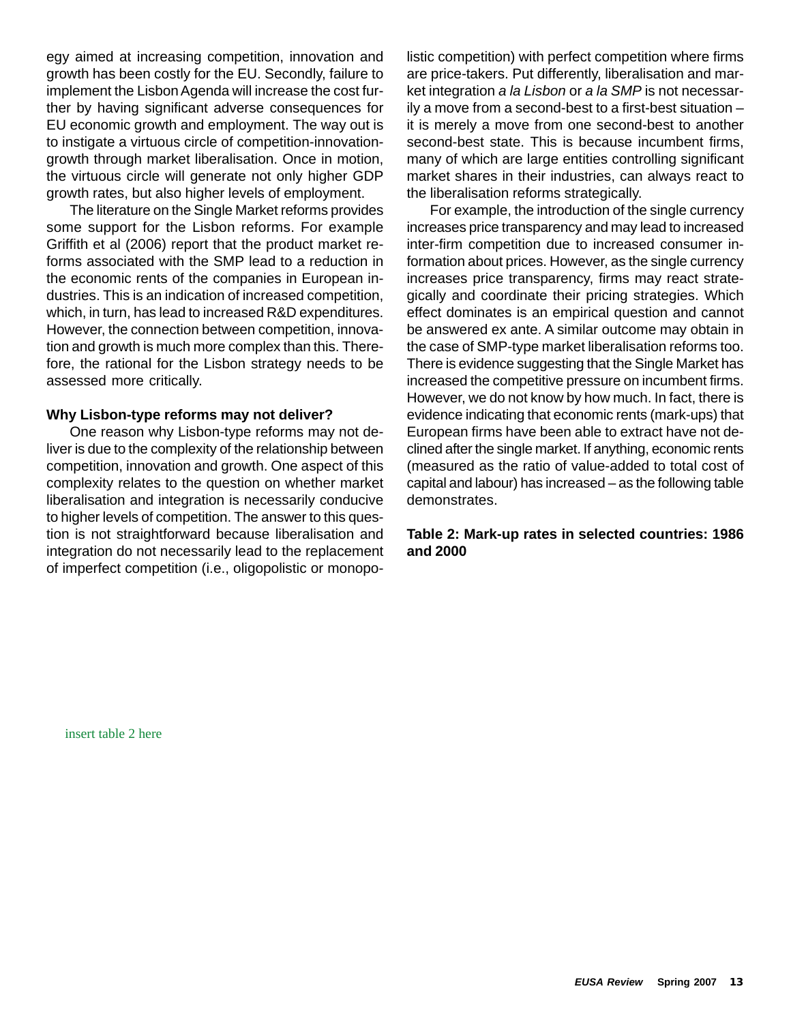egy aimed at increasing competition, innovation and growth has been costly for the EU. Secondly, failure to implement the Lisbon Agenda will increase the cost further by having significant adverse consequences for EU economic growth and employment. The way out is to instigate a virtuous circle of competition-innovationgrowth through market liberalisation. Once in motion, the virtuous circle will generate not only higher GDP growth rates, but also higher levels of employment.

The literature on the Single Market reforms provides some support for the Lisbon reforms. For example Griffith et al (2006) report that the product market reforms associated with the SMP lead to a reduction in the economic rents of the companies in European industries. This is an indication of increased competition, which, in turn, has lead to increased R&D expenditures. However, the connection between competition, innovation and growth is much more complex than this. Therefore, the rational for the Lisbon strategy needs to be assessed more critically.

#### **Why Lisbon-type reforms may not deliver?**

One reason why Lisbon-type reforms may not deliver is due to the complexity of the relationship between competition, innovation and growth. One aspect of this complexity relates to the question on whether market liberalisation and integration is necessarily conducive to higher levels of competition. The answer to this question is not straightforward because liberalisation and integration do not necessarily lead to the replacement of imperfect competition (i.e., oligopolistic or monopolistic competition) with perfect competition where firms are price-takers. Put differently, liberalisation and market integration *a la Lisbon* or *a la SMP* is not necessarily a move from a second-best to a first-best situation – it is merely a move from one second-best to another second-best state. This is because incumbent firms, many of which are large entities controlling significant market shares in their industries, can always react to the liberalisation reforms strategically.

For example, the introduction of the single currency increases price transparency and may lead to increased inter-firm competition due to increased consumer information about prices. However, as the single currency increases price transparency, firms may react strategically and coordinate their pricing strategies. Which effect dominates is an empirical question and cannot be answered ex ante. A similar outcome may obtain in the case of SMP-type market liberalisation reforms too. There is evidence suggesting that the Single Market has increased the competitive pressure on incumbent firms. However, we do not know by how much. In fact, there is evidence indicating that economic rents (mark-ups) that European firms have been able to extract have not declined after the single market. If anything, economic rents (measured as the ratio of value-added to total cost of capital and labour) has increased – as the following table demonstrates.

#### **Table 2: Mark-up rates in selected countries: 1986 and 2000**

insert table 2 here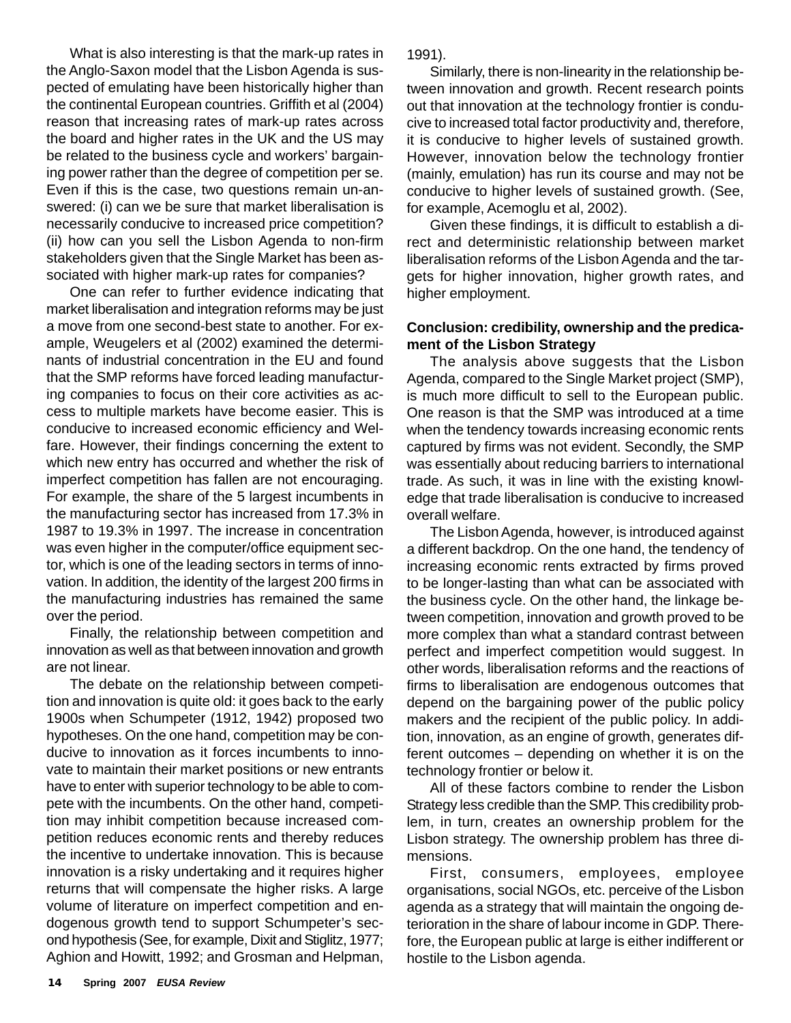What is also interesting is that the mark-up rates in the Anglo-Saxon model that the Lisbon Agenda is suspected of emulating have been historically higher than the continental European countries. Griffith et al (2004) reason that increasing rates of mark-up rates across the board and higher rates in the UK and the US may be related to the business cycle and workers' bargaining power rather than the degree of competition per se. Even if this is the case, two questions remain un-answered: (i) can we be sure that market liberalisation is necessarily conducive to increased price competition? (ii) how can you sell the Lisbon Agenda to non-firm stakeholders given that the Single Market has been associated with higher mark-up rates for companies?

One can refer to further evidence indicating that market liberalisation and integration reforms may be just a move from one second-best state to another. For example, Weugelers et al (2002) examined the determinants of industrial concentration in the EU and found that the SMP reforms have forced leading manufacturing companies to focus on their core activities as access to multiple markets have become easier. This is conducive to increased economic efficiency and Welfare. However, their findings concerning the extent to which new entry has occurred and whether the risk of imperfect competition has fallen are not encouraging. For example, the share of the 5 largest incumbents in the manufacturing sector has increased from 17.3% in 1987 to 19.3% in 1997. The increase in concentration was even higher in the computer/office equipment sector, which is one of the leading sectors in terms of innovation. In addition, the identity of the largest 200 firms in the manufacturing industries has remained the same over the period.

Finally, the relationship between competition and innovation as well as that between innovation and growth are not linear.

The debate on the relationship between competition and innovation is quite old: it goes back to the early 1900s when Schumpeter (1912, 1942) proposed two hypotheses. On the one hand, competition may be conducive to innovation as it forces incumbents to innovate to maintain their market positions or new entrants have to enter with superior technology to be able to compete with the incumbents. On the other hand, competition may inhibit competition because increased competition reduces economic rents and thereby reduces the incentive to undertake innovation. This is because innovation is a risky undertaking and it requires higher returns that will compensate the higher risks. A large volume of literature on imperfect competition and endogenous growth tend to support Schumpeter's second hypothesis (See, for example, Dixit and Stiglitz, 1977; Aghion and Howitt, 1992; and Grosman and Helpman,

1991).

Similarly, there is non-linearity in the relationship between innovation and growth. Recent research points out that innovation at the technology frontier is conducive to increased total factor productivity and, therefore, it is conducive to higher levels of sustained growth. However, innovation below the technology frontier (mainly, emulation) has run its course and may not be conducive to higher levels of sustained growth. (See, for example, Acemoglu et al, 2002).

Given these findings, it is difficult to establish a direct and deterministic relationship between market liberalisation reforms of the Lisbon Agenda and the targets for higher innovation, higher growth rates, and higher employment.

# **Conclusion: credibility, ownership and the predicament of the Lisbon Strategy**

The analysis above suggests that the Lisbon Agenda, compared to the Single Market project (SMP), is much more difficult to sell to the European public. One reason is that the SMP was introduced at a time when the tendency towards increasing economic rents captured by firms was not evident. Secondly, the SMP was essentially about reducing barriers to international trade. As such, it was in line with the existing knowledge that trade liberalisation is conducive to increased overall welfare.

The Lisbon Agenda, however, is introduced against a different backdrop. On the one hand, the tendency of increasing economic rents extracted by firms proved to be longer-lasting than what can be associated with the business cycle. On the other hand, the linkage between competition, innovation and growth proved to be more complex than what a standard contrast between perfect and imperfect competition would suggest. In other words, liberalisation reforms and the reactions of firms to liberalisation are endogenous outcomes that depend on the bargaining power of the public policy makers and the recipient of the public policy. In addition, innovation, as an engine of growth, generates different outcomes – depending on whether it is on the technology frontier or below it.

All of these factors combine to render the Lisbon Strategy less credible than the SMP. This credibility problem, in turn, creates an ownership problem for the Lisbon strategy. The ownership problem has three dimensions.

First, consumers, employees, employee organisations, social NGOs, etc. perceive of the Lisbon agenda as a strategy that will maintain the ongoing deterioration in the share of labour income in GDP. Therefore, the European public at large is either indifferent or hostile to the Lisbon agenda.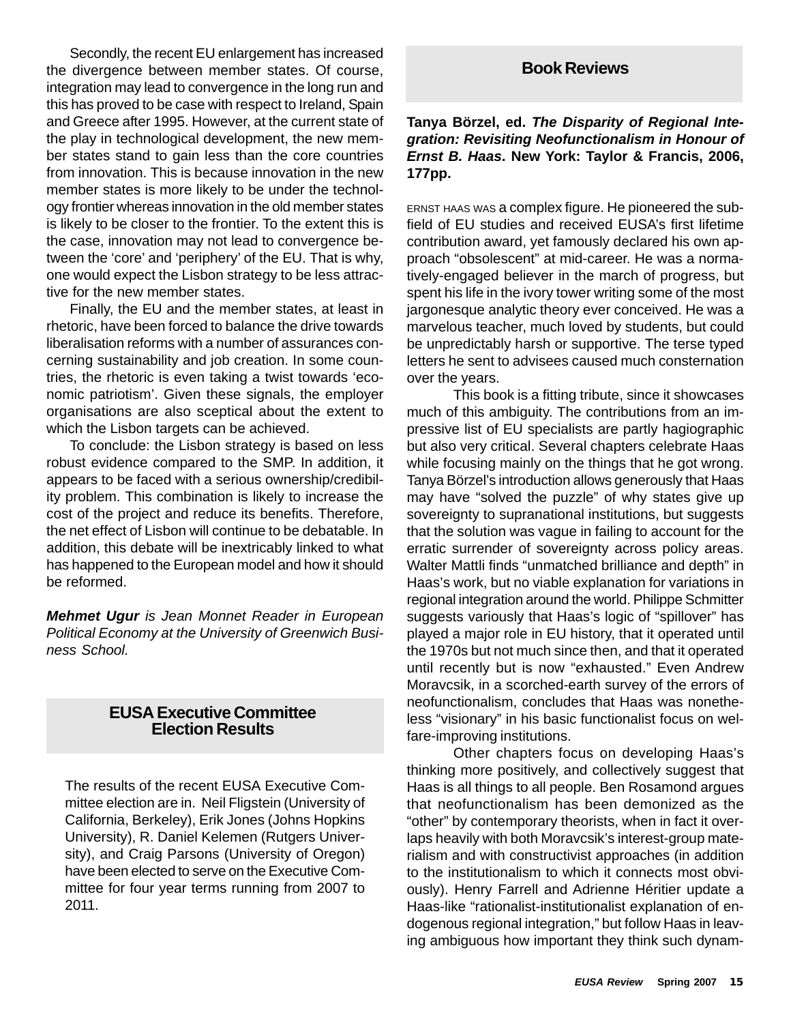Secondly, the recent EU enlargement has increased the divergence between member states. Of course, integration may lead to convergence in the long run and this has proved to be case with respect to Ireland, Spain and Greece after 1995. However, at the current state of the play in technological development, the new member states stand to gain less than the core countries from innovation. This is because innovation in the new member states is more likely to be under the technology frontier whereas innovation in the old member states is likely to be closer to the frontier. To the extent this is the case, innovation may not lead to convergence between the 'core' and 'periphery' of the EU. That is why, one would expect the Lisbon strategy to be less attractive for the new member states.

Finally, the EU and the member states, at least in rhetoric, have been forced to balance the drive towards liberalisation reforms with a number of assurances concerning sustainability and job creation. In some countries, the rhetoric is even taking a twist towards 'economic patriotism'. Given these signals, the employer organisations are also sceptical about the extent to which the Lisbon targets can be achieved.

To conclude: the Lisbon strategy is based on less robust evidence compared to the SMP. In addition, it appears to be faced with a serious ownership/credibility problem. This combination is likely to increase the cost of the project and reduce its benefits. Therefore, the net effect of Lisbon will continue to be debatable. In addition, this debate will be inextricably linked to what has happened to the European model and how it should be reformed.

*Mehmet Ugur is Jean Monnet Reader in European Political Economy at the University of Greenwich Business School.*

# **EUSA Executive Committee Election Results**

The results of the recent EUSA Executive Committee election are in. Neil Fligstein (University of California, Berkeley), Erik Jones (Johns Hopkins University), R. Daniel Kelemen (Rutgers University), and Craig Parsons (University of Oregon) have been elected to serve on the Executive Committee for four year terms running from 2007 to 2011.

# **Book Reviews**

# **Tanya Börzel, ed.** *The Disparity of Regional Integration: Revisiting Neofunctionalism in Honour of Ernst B. Haas***. New York: Taylor & Francis, 2006, 177pp.**

ERNST HAAS WAS a complex figure. He pioneered the subfield of EU studies and received EUSA's first lifetime contribution award, yet famously declared his own approach "obsolescent" at mid-career. He was a normatively-engaged believer in the march of progress, but spent his life in the ivory tower writing some of the most jargonesque analytic theory ever conceived. He was a marvelous teacher, much loved by students, but could be unpredictably harsh or supportive. The terse typed letters he sent to advisees caused much consternation over the years.

This book is a fitting tribute, since it showcases much of this ambiguity. The contributions from an impressive list of EU specialists are partly hagiographic but also very critical. Several chapters celebrate Haas while focusing mainly on the things that he got wrong. Tanya Börzel's introduction allows generously that Haas may have "solved the puzzle" of why states give up sovereignty to supranational institutions, but suggests that the solution was vague in failing to account for the erratic surrender of sovereignty across policy areas. Walter Mattli finds "unmatched brilliance and depth" in Haas's work, but no viable explanation for variations in regional integration around the world. Philippe Schmitter suggests variously that Haas's logic of "spillover" has played a major role in EU history, that it operated until the 1970s but not much since then, and that it operated until recently but is now "exhausted." Even Andrew Moravcsik, in a scorched-earth survey of the errors of neofunctionalism, concludes that Haas was nonetheless "visionary" in his basic functionalist focus on welfare-improving institutions.

Other chapters focus on developing Haas's thinking more positively, and collectively suggest that Haas is all things to all people. Ben Rosamond argues that neofunctionalism has been demonized as the "other" by contemporary theorists, when in fact it overlaps heavily with both Moravcsik's interest-group materialism and with constructivist approaches (in addition to the institutionalism to which it connects most obviously). Henry Farrell and Adrienne Héritier update a Haas-like "rationalist-institutionalist explanation of endogenous regional integration," but follow Haas in leaving ambiguous how important they think such dynam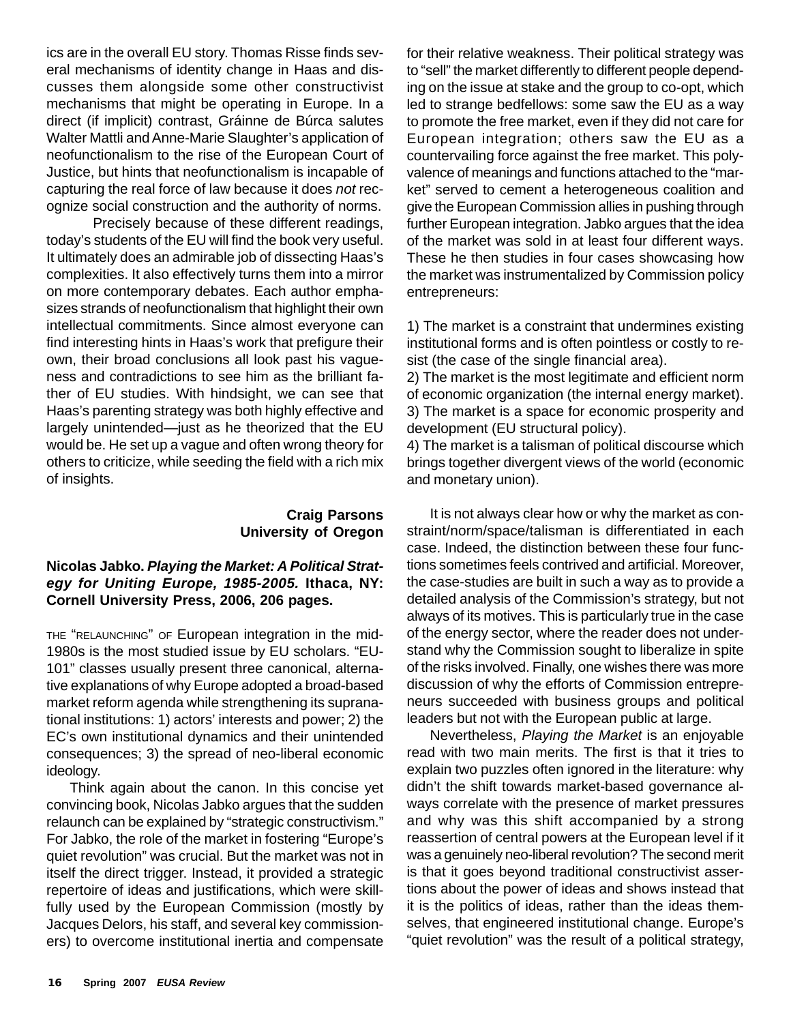ics are in the overall EU story. Thomas Risse finds several mechanisms of identity change in Haas and discusses them alongside some other constructivist mechanisms that might be operating in Europe. In a direct (if implicit) contrast, Gráinne de Búrca salutes Walter Mattli and Anne-Marie Slaughter's application of neofunctionalism to the rise of the European Court of Justice, but hints that neofunctionalism is incapable of capturing the real force of law because it does *not* recognize social construction and the authority of norms.

Precisely because of these different readings, today's students of the EU will find the book very useful. It ultimately does an admirable job of dissecting Haas's complexities. It also effectively turns them into a mirror on more contemporary debates. Each author emphasizes strands of neofunctionalism that highlight their own intellectual commitments. Since almost everyone can find interesting hints in Haas's work that prefigure their own, their broad conclusions all look past his vagueness and contradictions to see him as the brilliant father of EU studies. With hindsight, we can see that Haas's parenting strategy was both highly effective and largely unintended—just as he theorized that the EU would be. He set up a vague and often wrong theory for others to criticize, while seeding the field with a rich mix of insights.

# **Craig Parsons University of Oregon**

# **Nicolas Jabko.** *Playing the Market: A Political Strategy for Uniting Europe, 1985-2005.* **Ithaca, NY: Cornell University Press, 2006, 206 pages.**

THE "RELAUNCHING" OF European integration in the mid-1980s is the most studied issue by EU scholars. "EU-101" classes usually present three canonical, alternative explanations of why Europe adopted a broad-based market reform agenda while strengthening its supranational institutions: 1) actors' interests and power; 2) the EC's own institutional dynamics and their unintended consequences; 3) the spread of neo-liberal economic ideology.

Think again about the canon. In this concise yet convincing book, Nicolas Jabko argues that the sudden relaunch can be explained by "strategic constructivism." For Jabko, the role of the market in fostering "Europe's quiet revolution" was crucial. But the market was not in itself the direct trigger. Instead, it provided a strategic repertoire of ideas and justifications, which were skillfully used by the European Commission (mostly by Jacques Delors, his staff, and several key commissioners) to overcome institutional inertia and compensate

for their relative weakness. Their political strategy was to "sell" the market differently to different people depending on the issue at stake and the group to co-opt, which led to strange bedfellows: some saw the EU as a way to promote the free market, even if they did not care for European integration; others saw the EU as a countervailing force against the free market. This polyvalence of meanings and functions attached to the "market" served to cement a heterogeneous coalition and give the European Commission allies in pushing through further European integration. Jabko argues that the idea of the market was sold in at least four different ways. These he then studies in four cases showcasing how the market was instrumentalized by Commission policy entrepreneurs:

1) The market is a constraint that undermines existing institutional forms and is often pointless or costly to resist (the case of the single financial area).

2) The market is the most legitimate and efficient norm of economic organization (the internal energy market). 3) The market is a space for economic prosperity and

development (EU structural policy).

4) The market is a talisman of political discourse which brings together divergent views of the world (economic and monetary union).

It is not always clear how or why the market as constraint/norm/space/talisman is differentiated in each case. Indeed, the distinction between these four functions sometimes feels contrived and artificial. Moreover, the case-studies are built in such a way as to provide a detailed analysis of the Commission's strategy, but not always of its motives. This is particularly true in the case of the energy sector, where the reader does not understand why the Commission sought to liberalize in spite of the risks involved. Finally, one wishes there was more discussion of why the efforts of Commission entrepreneurs succeeded with business groups and political leaders but not with the European public at large.

Nevertheless, *Playing the Market* is an enjoyable read with two main merits. The first is that it tries to explain two puzzles often ignored in the literature: why didn't the shift towards market-based governance always correlate with the presence of market pressures and why was this shift accompanied by a strong reassertion of central powers at the European level if it was a genuinely neo-liberal revolution? The second merit is that it goes beyond traditional constructivist assertions about the power of ideas and shows instead that it is the politics of ideas, rather than the ideas themselves, that engineered institutional change. Europe's "quiet revolution" was the result of a political strategy,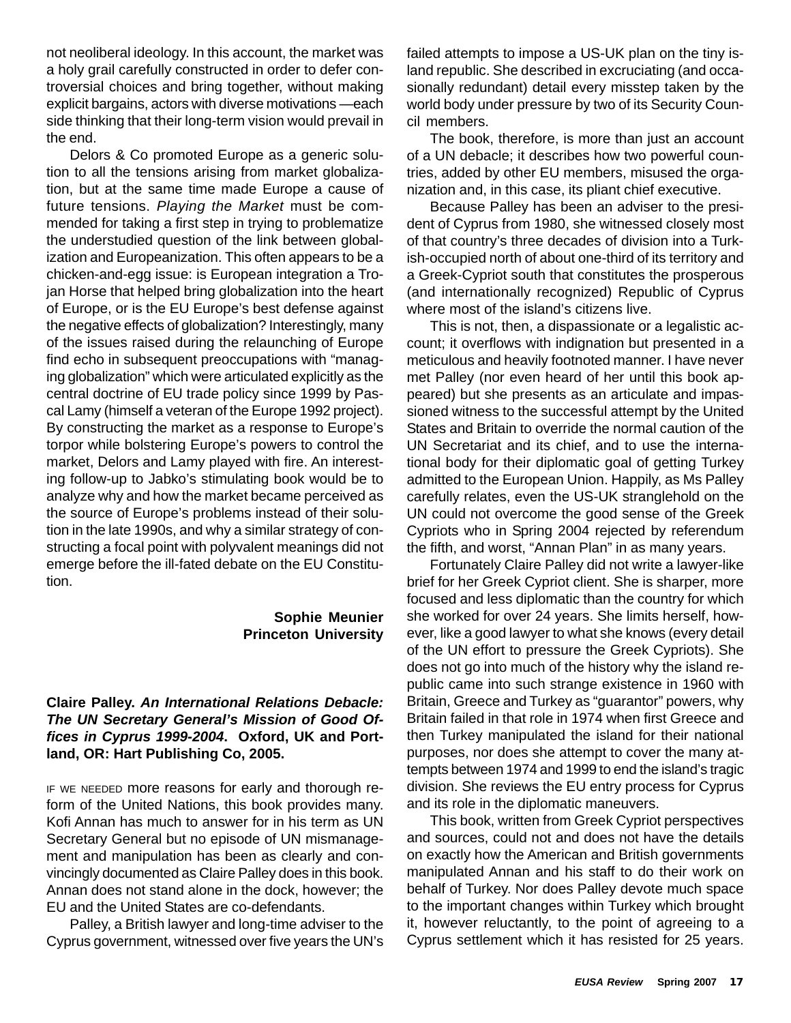not neoliberal ideology. In this account, the market was a holy grail carefully constructed in order to defer controversial choices and bring together, without making explicit bargains, actors with diverse motivations —each side thinking that their long-term vision would prevail in the end.

Delors & Co promoted Europe as a generic solution to all the tensions arising from market globalization, but at the same time made Europe a cause of future tensions. *Playing the Market* must be commended for taking a first step in trying to problematize the understudied question of the link between globalization and Europeanization. This often appears to be a chicken-and-egg issue: is European integration a Trojan Horse that helped bring globalization into the heart of Europe, or is the EU Europe's best defense against the negative effects of globalization? Interestingly, many of the issues raised during the relaunching of Europe find echo in subsequent preoccupations with "managing globalization" which were articulated explicitly as the central doctrine of EU trade policy since 1999 by Pascal Lamy (himself a veteran of the Europe 1992 project). By constructing the market as a response to Europe's torpor while bolstering Europe's powers to control the market, Delors and Lamy played with fire. An interesting follow-up to Jabko's stimulating book would be to analyze why and how the market became perceived as the source of Europe's problems instead of their solution in the late 1990s, and why a similar strategy of constructing a focal point with polyvalent meanings did not emerge before the ill-fated debate on the EU Constitution.

# **Sophie Meunier Princeton University**

# **Claire Palley.** *An International Relations Debacle: The UN Secretary General's Mission of Good Offices in Cyprus 1999-2004***. Oxford, UK and Portland, OR: Hart Publishing Co, 2005.**

IF WE NEEDED more reasons for early and thorough reform of the United Nations, this book provides many. Kofi Annan has much to answer for in his term as UN Secretary General but no episode of UN mismanagement and manipulation has been as clearly and convincingly documented as Claire Palley does in this book. Annan does not stand alone in the dock, however; the EU and the United States are co-defendants.

Palley, a British lawyer and long-time adviser to the Cyprus government, witnessed over five years the UN's failed attempts to impose a US-UK plan on the tiny island republic. She described in excruciating (and occasionally redundant) detail every misstep taken by the world body under pressure by two of its Security Council members.

The book, therefore, is more than just an account of a UN debacle; it describes how two powerful countries, added by other EU members, misused the organization and, in this case, its pliant chief executive.

Because Palley has been an adviser to the president of Cyprus from 1980, she witnessed closely most of that country's three decades of division into a Turkish-occupied north of about one-third of its territory and a Greek-Cypriot south that constitutes the prosperous (and internationally recognized) Republic of Cyprus where most of the island's citizens live.

This is not, then, a dispassionate or a legalistic account; it overflows with indignation but presented in a meticulous and heavily footnoted manner. I have never met Palley (nor even heard of her until this book appeared) but she presents as an articulate and impassioned witness to the successful attempt by the United States and Britain to override the normal caution of the UN Secretariat and its chief, and to use the international body for their diplomatic goal of getting Turkey admitted to the European Union. Happily, as Ms Palley carefully relates, even the US-UK stranglehold on the UN could not overcome the good sense of the Greek Cypriots who in Spring 2004 rejected by referendum the fifth, and worst, "Annan Plan" in as many years.

Fortunately Claire Palley did not write a lawyer-like brief for her Greek Cypriot client. She is sharper, more focused and less diplomatic than the country for which she worked for over 24 years. She limits herself, however, like a good lawyer to what she knows (every detail of the UN effort to pressure the Greek Cypriots). She does not go into much of the history why the island republic came into such strange existence in 1960 with Britain, Greece and Turkey as "guarantor" powers, why Britain failed in that role in 1974 when first Greece and then Turkey manipulated the island for their national purposes, nor does she attempt to cover the many attempts between 1974 and 1999 to end the island's tragic division. She reviews the EU entry process for Cyprus and its role in the diplomatic maneuvers.

This book, written from Greek Cypriot perspectives and sources, could not and does not have the details on exactly how the American and British governments manipulated Annan and his staff to do their work on behalf of Turkey. Nor does Palley devote much space to the important changes within Turkey which brought it, however reluctantly, to the point of agreeing to a Cyprus settlement which it has resisted for 25 years.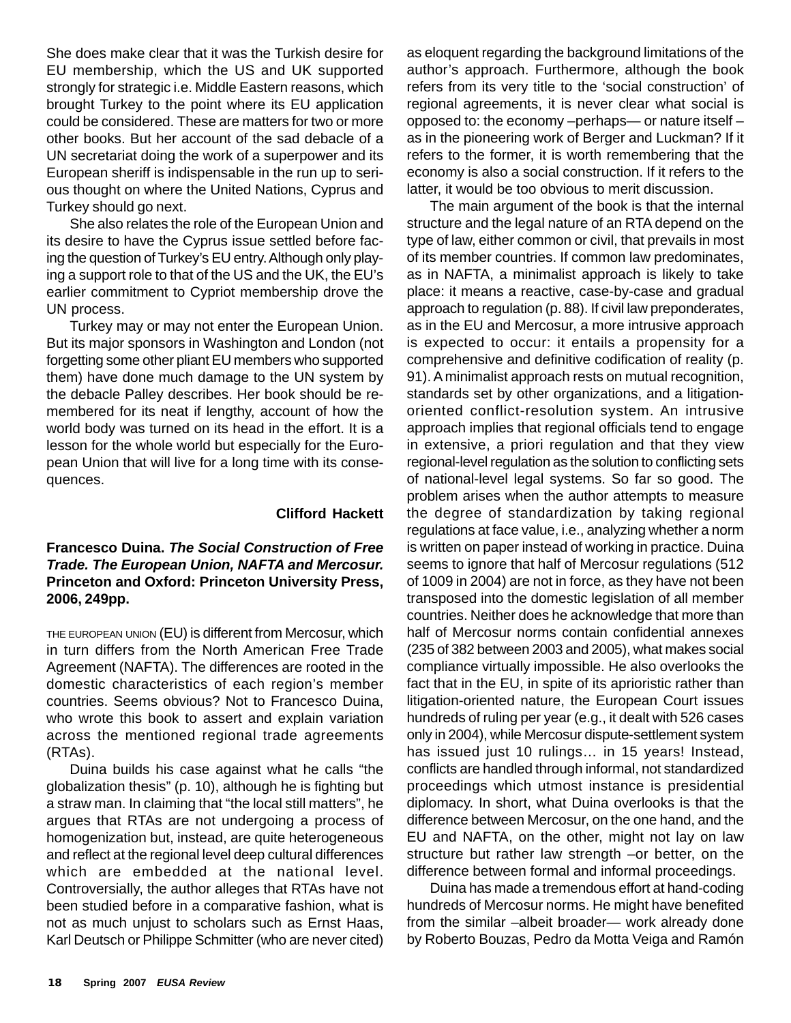She does make clear that it was the Turkish desire for EU membership, which the US and UK supported strongly for strategic i.e. Middle Eastern reasons, which brought Turkey to the point where its EU application could be considered. These are matters for two or more other books. But her account of the sad debacle of a UN secretariat doing the work of a superpower and its European sheriff is indispensable in the run up to serious thought on where the United Nations, Cyprus and Turkey should go next.

She also relates the role of the European Union and its desire to have the Cyprus issue settled before facing the question of Turkey's EU entry. Although only playing a support role to that of the US and the UK, the EU's earlier commitment to Cypriot membership drove the UN process.

Turkey may or may not enter the European Union. But its major sponsors in Washington and London (not forgetting some other pliant EU members who supported them) have done much damage to the UN system by the debacle Palley describes. Her book should be remembered for its neat if lengthy, account of how the world body was turned on its head in the effort. It is a lesson for the whole world but especially for the European Union that will live for a long time with its consequences.

# **Clifford Hackett**

# **Francesco Duina.** *The Social Construction of Free Trade. The European Union, NAFTA and Mercosur.* **Princeton and Oxford: Princeton University Press, 2006, 249pp.**

THE EUROPEAN UNION (EU) is different from Mercosur, which in turn differs from the North American Free Trade Agreement (NAFTA). The differences are rooted in the domestic characteristics of each region's member countries. Seems obvious? Not to Francesco Duina, who wrote this book to assert and explain variation across the mentioned regional trade agreements (RTAs).

Duina builds his case against what he calls "the globalization thesis" (p. 10), although he is fighting but a straw man. In claiming that "the local still matters", he argues that RTAs are not undergoing a process of homogenization but, instead, are quite heterogeneous and reflect at the regional level deep cultural differences which are embedded at the national level. Controversially, the author alleges that RTAs have not been studied before in a comparative fashion, what is not as much unjust to scholars such as Ernst Haas, Karl Deutsch or Philippe Schmitter (who are never cited)

as eloquent regarding the background limitations of the author's approach. Furthermore, although the book refers from its very title to the 'social construction' of regional agreements, it is never clear what social is opposed to: the economy –perhaps— or nature itself – as in the pioneering work of Berger and Luckman? If it refers to the former, it is worth remembering that the economy is also a social construction. If it refers to the latter, it would be too obvious to merit discussion.

The main argument of the book is that the internal structure and the legal nature of an RTA depend on the type of law, either common or civil, that prevails in most of its member countries. If common law predominates, as in NAFTA, a minimalist approach is likely to take place: it means a reactive, case-by-case and gradual approach to regulation (p. 88). If civil law preponderates, as in the EU and Mercosur, a more intrusive approach is expected to occur: it entails a propensity for a comprehensive and definitive codification of reality (p. 91). A minimalist approach rests on mutual recognition, standards set by other organizations, and a litigationoriented conflict-resolution system. An intrusive approach implies that regional officials tend to engage in extensive, a priori regulation and that they view regional-level regulation as the solution to conflicting sets of national-level legal systems. So far so good. The problem arises when the author attempts to measure the degree of standardization by taking regional regulations at face value, i.e., analyzing whether a norm is written on paper instead of working in practice. Duina seems to ignore that half of Mercosur regulations (512 of 1009 in 2004) are not in force, as they have not been transposed into the domestic legislation of all member countries. Neither does he acknowledge that more than half of Mercosur norms contain confidential annexes (235 of 382 between 2003 and 2005), what makes social compliance virtually impossible. He also overlooks the fact that in the EU, in spite of its aprioristic rather than litigation-oriented nature, the European Court issues hundreds of ruling per year (e.g., it dealt with 526 cases only in 2004), while Mercosur dispute-settlement system has issued just 10 rulings... in 15 years! Instead, conflicts are handled through informal, not standardized proceedings which utmost instance is presidential diplomacy. In short, what Duina overlooks is that the difference between Mercosur, on the one hand, and the EU and NAFTA, on the other, might not lay on law structure but rather law strength –or better, on the difference between formal and informal proceedings.

Duina has made a tremendous effort at hand-coding hundreds of Mercosur norms. He might have benefited from the similar –albeit broader— work already done by Roberto Bouzas, Pedro da Motta Veiga and Ramón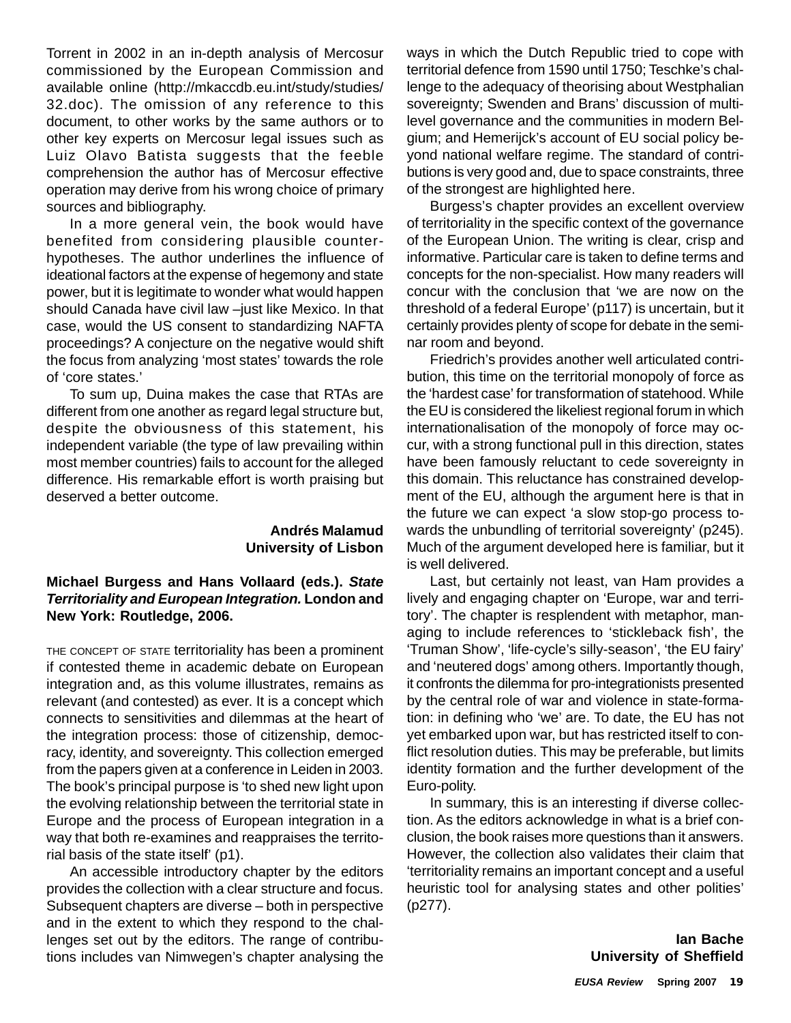Torrent in 2002 in an in-depth analysis of Mercosur commissioned by the European Commission and available online (http://mkaccdb.eu.int/study/studies/ 32.doc). The omission of any reference to this document, to other works by the same authors or to other key experts on Mercosur legal issues such as Luiz Olavo Batista suggests that the feeble comprehension the author has of Mercosur effective operation may derive from his wrong choice of primary sources and bibliography.

In a more general vein, the book would have benefited from considering plausible counterhypotheses. The author underlines the influence of ideational factors at the expense of hegemony and state power, but it is legitimate to wonder what would happen should Canada have civil law –just like Mexico. In that case, would the US consent to standardizing NAFTA proceedings? A conjecture on the negative would shift the focus from analyzing 'most states' towards the role of 'core states.'

To sum up, Duina makes the case that RTAs are different from one another as regard legal structure but, despite the obviousness of this statement, his independent variable (the type of law prevailing within most member countries) fails to account for the alleged difference. His remarkable effort is worth praising but deserved a better outcome.

# **Andrés Malamud University of Lisbon**

# **Michael Burgess and Hans Vollaard (eds.).** *State Territoriality and European Integration.* **London and New York: Routledge, 2006.**

THE CONCEPT OF STATE territoriality has been a prominent if contested theme in academic debate on European integration and, as this volume illustrates, remains as relevant (and contested) as ever. It is a concept which connects to sensitivities and dilemmas at the heart of the integration process: those of citizenship, democracy, identity, and sovereignty. This collection emerged from the papers given at a conference in Leiden in 2003. The book's principal purpose is 'to shed new light upon the evolving relationship between the territorial state in Europe and the process of European integration in a way that both re-examines and reappraises the territorial basis of the state itself' (p1).

An accessible introductory chapter by the editors provides the collection with a clear structure and focus. Subsequent chapters are diverse – both in perspective and in the extent to which they respond to the challenges set out by the editors. The range of contributions includes van Nimwegen's chapter analysing the

ways in which the Dutch Republic tried to cope with territorial defence from 1590 until 1750; Teschke's challenge to the adequacy of theorising about Westphalian sovereignty; Swenden and Brans' discussion of multilevel governance and the communities in modern Belgium; and Hemerijck's account of EU social policy beyond national welfare regime. The standard of contributions is very good and, due to space constraints, three of the strongest are highlighted here.

Burgess's chapter provides an excellent overview of territoriality in the specific context of the governance of the European Union. The writing is clear, crisp and informative. Particular care is taken to define terms and concepts for the non-specialist. How many readers will concur with the conclusion that 'we are now on the threshold of a federal Europe' (p117) is uncertain, but it certainly provides plenty of scope for debate in the seminar room and beyond.

Friedrich's provides another well articulated contribution, this time on the territorial monopoly of force as the 'hardest case' for transformation of statehood. While the EU is considered the likeliest regional forum in which internationalisation of the monopoly of force may occur, with a strong functional pull in this direction, states have been famously reluctant to cede sovereignty in this domain. This reluctance has constrained development of the EU, although the argument here is that in the future we can expect 'a slow stop-go process towards the unbundling of territorial sovereignty' (p245). Much of the argument developed here is familiar, but it is well delivered.

Last, but certainly not least, van Ham provides a lively and engaging chapter on 'Europe, war and territory'. The chapter is resplendent with metaphor, managing to include references to 'stickleback fish', the 'Truman Show', 'life-cycle's silly-season', 'the EU fairy' and 'neutered dogs' among others. Importantly though, it confronts the dilemma for pro-integrationists presented by the central role of war and violence in state-formation: in defining who 'we' are. To date, the EU has not yet embarked upon war, but has restricted itself to conflict resolution duties. This may be preferable, but limits identity formation and the further development of the Euro-polity.

In summary, this is an interesting if diverse collection. As the editors acknowledge in what is a brief conclusion, the book raises more questions than it answers. However, the collection also validates their claim that 'territoriality remains an important concept and a useful heuristic tool for analysing states and other polities' (p277).

> **Ian Bache University of Sheffield**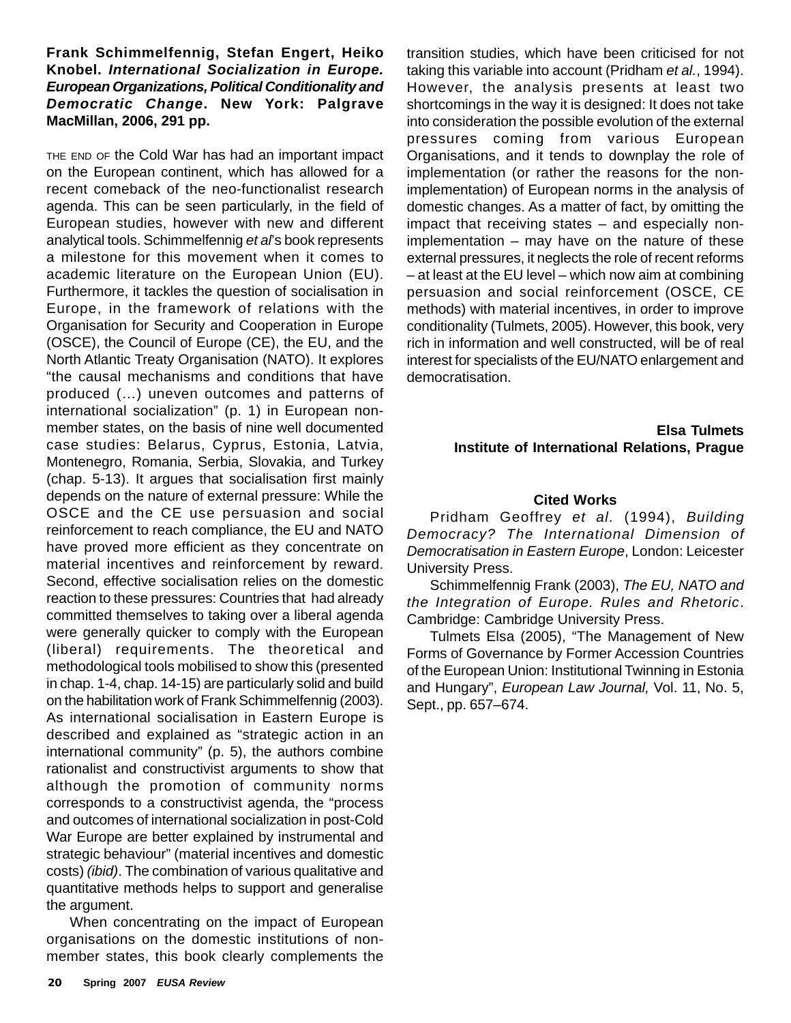# **Frank Schimmelfennig, Stefan Engert, Heiko Knobel.** *International Socialization in Europe. European Organizations, Political Conditionality and Democratic Change***. New York: Palgrave MacMillan, 2006, 291 pp.**

THE END OF the Cold War has had an important impact on the European continent, which has allowed for a recent comeback of the neo-functionalist research agenda. This can be seen particularly, in the field of European studies, however with new and different analytical tools. Schimmelfennig *et al*'s book represents a milestone for this movement when it comes to academic literature on the European Union (EU). Furthermore, it tackles the question of socialisation in Europe, in the framework of relations with the Organisation for Security and Cooperation in Europe (OSCE), the Council of Europe (CE), the EU, and the North Atlantic Treaty Organisation (NATO). It explores "the causal mechanisms and conditions that have produced (…) uneven outcomes and patterns of international socialization" (p. 1) in European nonmember states, on the basis of nine well documented case studies: Belarus, Cyprus, Estonia, Latvia, Montenegro, Romania, Serbia, Slovakia, and Turkey (chap. 5-13). It argues that socialisation first mainly depends on the nature of external pressure: While the OSCE and the CE use persuasion and social reinforcement to reach compliance, the EU and NATO have proved more efficient as they concentrate on material incentives and reinforcement by reward. Second, effective socialisation relies on the domestic reaction to these pressures: Countries that had already committed themselves to taking over a liberal agenda were generally quicker to comply with the European (liberal) requirements. The theoretical and methodological tools mobilised to show this (presented in chap. 1-4, chap. 14-15) are particularly solid and build on the habilitation work of Frank Schimmelfennig (2003). As international socialisation in Eastern Europe is described and explained as "strategic action in an international community" (p. 5), the authors combine rationalist and constructivist arguments to show that although the promotion of community norms corresponds to a constructivist agenda, the "process and outcomes of international socialization in post-Cold War Europe are better explained by instrumental and strategic behaviour" (material incentives and domestic costs) *(ibid)*. The combination of various qualitative and quantitative methods helps to support and generalise the argument.

When concentrating on the impact of European organisations on the domestic institutions of nonmember states, this book clearly complements the transition studies, which have been criticised for not taking this variable into account (Pridham *et al.*, 1994). However, the analysis presents at least two shortcomings in the way it is designed: It does not take into consideration the possible evolution of the external pressures coming from various European Organisations, and it tends to downplay the role of implementation (or rather the reasons for the nonimplementation) of European norms in the analysis of domestic changes. As a matter of fact, by omitting the impact that receiving states – and especially nonimplementation – may have on the nature of these external pressures, it neglects the role of recent reforms – at least at the EU level – which now aim at combining persuasion and social reinforcement (OSCE, CE methods) with material incentives, in order to improve conditionality (Tulmets, 2005). However, this book, very rich in information and well constructed, will be of real interest for specialists of the EU/NATO enlargement and democratisation.

#### **Elsa Tulmets Institute of International Relations, Prague**

# **Cited Works**

Pridham Geoffrey *et al.* (1994), *Building Democracy? The International Dimension of Democratisation in Eastern Europe*, London: Leicester University Press.

Schimmelfennig Frank (2003), *The EU, NATO and the Integration of Europe. Rules and Rhetoric*. Cambridge: Cambridge University Press.

Tulmets Elsa (2005), "The Management of New Forms of Governance by Former Accession Countries of the European Union: Institutional Twinning in Estonia and Hungary", *European Law Journal,* Vol. 11, No. 5, Sept., pp. 657–674.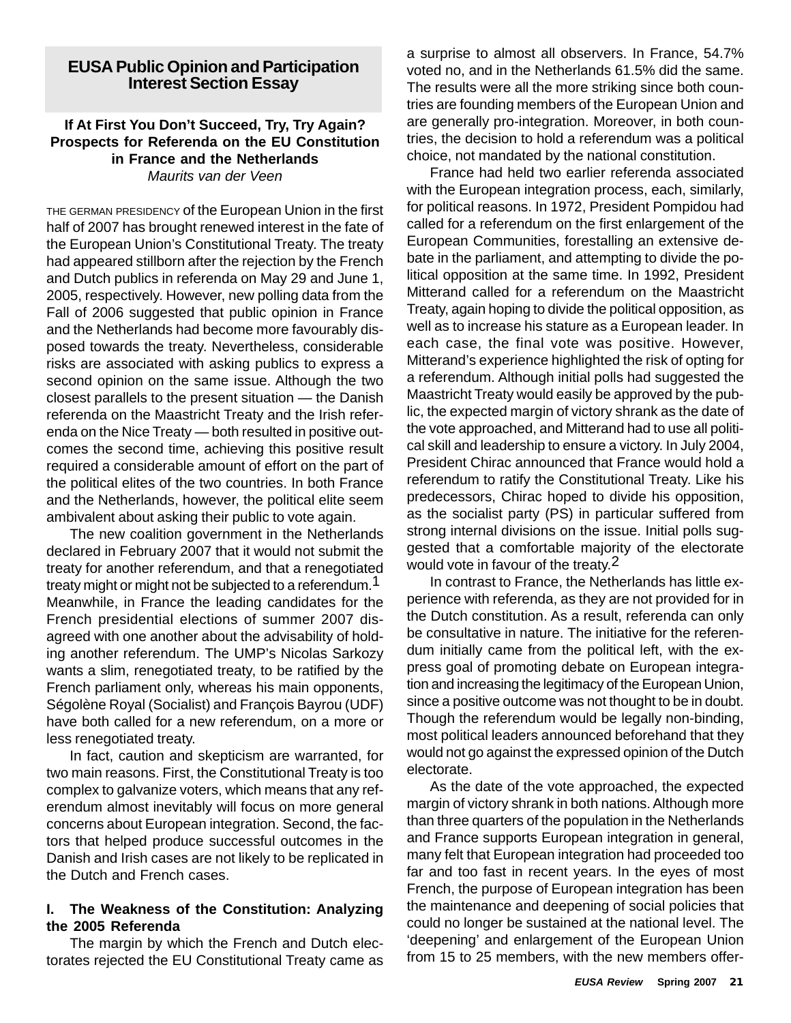# **EUSA Public Opinion and Participation Interest Section Essay**

#### **If At First You Don't Succeed, Try, Try Again? Prospects for Referenda on the EU Constitution in France and the Netherlands** *Maurits van der Veen*

THE GERMAN PRESIDENCY of the European Union in the first half of 2007 has brought renewed interest in the fate of the European Union's Constitutional Treaty. The treaty had appeared stillborn after the rejection by the French and Dutch publics in referenda on May 29 and June 1, 2005, respectively. However, new polling data from the Fall of 2006 suggested that public opinion in France and the Netherlands had become more favourably disposed towards the treaty. Nevertheless, considerable risks are associated with asking publics to express a second opinion on the same issue. Although the two closest parallels to the present situation — the Danish referenda on the Maastricht Treaty and the Irish referenda on the Nice Treaty — both resulted in positive outcomes the second time, achieving this positive result required a considerable amount of effort on the part of the political elites of the two countries. In both France and the Netherlands, however, the political elite seem ambivalent about asking their public to vote again.

The new coalition government in the Netherlands declared in February 2007 that it would not submit the treaty for another referendum, and that a renegotiated treaty might or might not be subjected to a referendum.<sup>1</sup> Meanwhile, in France the leading candidates for the French presidential elections of summer 2007 disagreed with one another about the advisability of holding another referendum. The UMP's Nicolas Sarkozy wants a slim, renegotiated treaty, to be ratified by the French parliament only, whereas his main opponents, Ségolène Royal (Socialist) and François Bayrou (UDF) have both called for a new referendum, on a more or less renegotiated treaty.

In fact, caution and skepticism are warranted, for two main reasons. First, the Constitutional Treaty is too complex to galvanize voters, which means that any referendum almost inevitably will focus on more general concerns about European integration. Second, the factors that helped produce successful outcomes in the Danish and Irish cases are not likely to be replicated in the Dutch and French cases.

# **I. The Weakness of the Constitution: Analyzing the 2005 Referenda**

The margin by which the French and Dutch electorates rejected the EU Constitutional Treaty came as a surprise to almost all observers. In France, 54.7% voted no, and in the Netherlands 61.5% did the same. The results were all the more striking since both countries are founding members of the European Union and are generally pro-integration. Moreover, in both countries, the decision to hold a referendum was a political choice, not mandated by the national constitution.

France had held two earlier referenda associated with the European integration process, each, similarly, for political reasons. In 1972, President Pompidou had called for a referendum on the first enlargement of the European Communities, forestalling an extensive debate in the parliament, and attempting to divide the political opposition at the same time. In 1992, President Mitterand called for a referendum on the Maastricht Treaty, again hoping to divide the political opposition, as well as to increase his stature as a European leader. In each case, the final vote was positive. However, Mitterand's experience highlighted the risk of opting for a referendum. Although initial polls had suggested the Maastricht Treaty would easily be approved by the public, the expected margin of victory shrank as the date of the vote approached, and Mitterand had to use all political skill and leadership to ensure a victory. In July 2004, President Chirac announced that France would hold a referendum to ratify the Constitutional Treaty. Like his predecessors, Chirac hoped to divide his opposition, as the socialist party (PS) in particular suffered from strong internal divisions on the issue. Initial polls suggested that a comfortable majority of the electorate would vote in favour of the treaty.<sup>2</sup>

In contrast to France, the Netherlands has little experience with referenda, as they are not provided for in the Dutch constitution. As a result, referenda can only be consultative in nature. The initiative for the referendum initially came from the political left, with the express goal of promoting debate on European integration and increasing the legitimacy of the European Union, since a positive outcome was not thought to be in doubt. Though the referendum would be legally non-binding, most political leaders announced beforehand that they would not go against the expressed opinion of the Dutch electorate.

As the date of the vote approached, the expected margin of victory shrank in both nations. Although more than three quarters of the population in the Netherlands and France supports European integration in general, many felt that European integration had proceeded too far and too fast in recent years. In the eyes of most French, the purpose of European integration has been the maintenance and deepening of social policies that could no longer be sustained at the national level. The 'deepening' and enlargement of the European Union from 15 to 25 members, with the new members offer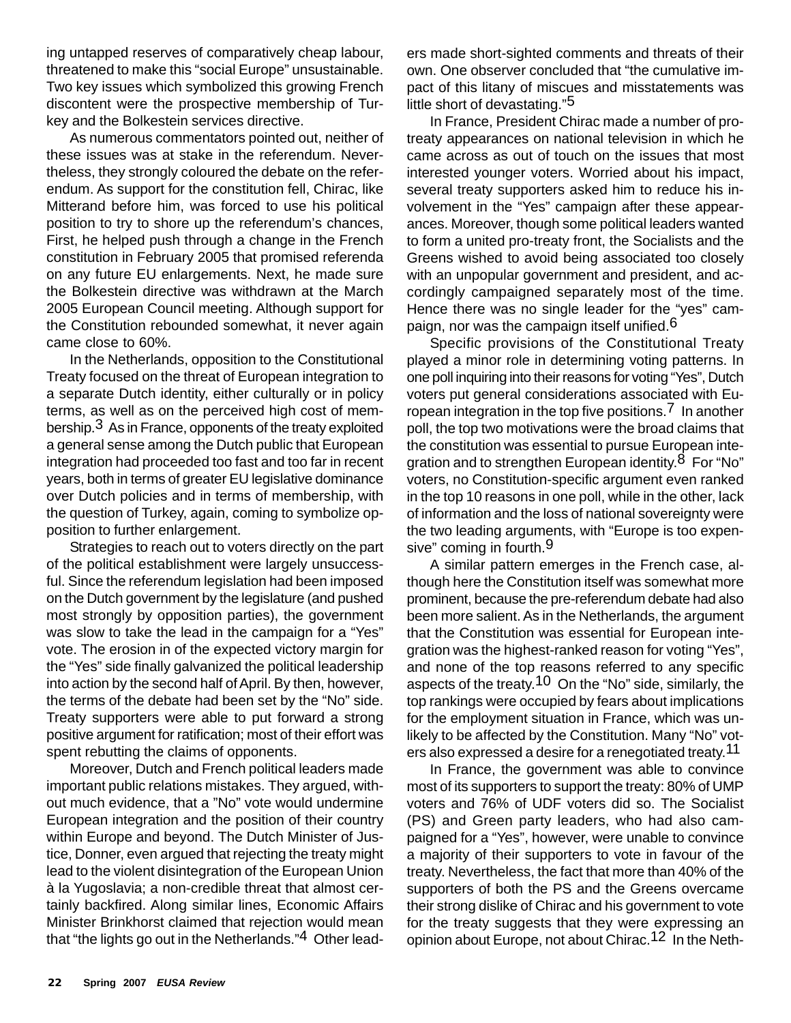ing untapped reserves of comparatively cheap labour, threatened to make this "social Europe" unsustainable. Two key issues which symbolized this growing French discontent were the prospective membership of Turkey and the Bolkestein services directive.

As numerous commentators pointed out, neither of these issues was at stake in the referendum. Nevertheless, they strongly coloured the debate on the referendum. As support for the constitution fell, Chirac, like Mitterand before him, was forced to use his political position to try to shore up the referendum's chances, First, he helped push through a change in the French constitution in February 2005 that promised referenda on any future EU enlargements. Next, he made sure the Bolkestein directive was withdrawn at the March 2005 European Council meeting. Although support for the Constitution rebounded somewhat, it never again came close to 60%.

In the Netherlands, opposition to the Constitutional Treaty focused on the threat of European integration to a separate Dutch identity, either culturally or in policy terms, as well as on the perceived high cost of membership.3 As in France, opponents of the treaty exploited a general sense among the Dutch public that European integration had proceeded too fast and too far in recent years, both in terms of greater EU legislative dominance over Dutch policies and in terms of membership, with the question of Turkey, again, coming to symbolize opposition to further enlargement.

Strategies to reach out to voters directly on the part of the political establishment were largely unsuccessful. Since the referendum legislation had been imposed on the Dutch government by the legislature (and pushed most strongly by opposition parties), the government was slow to take the lead in the campaign for a "Yes" vote. The erosion in of the expected victory margin for the "Yes" side finally galvanized the political leadership into action by the second half of April. By then, however, the terms of the debate had been set by the "No" side. Treaty supporters were able to put forward a strong positive argument for ratification; most of their effort was spent rebutting the claims of opponents.

Moreover, Dutch and French political leaders made important public relations mistakes. They argued, without much evidence, that a "No" vote would undermine European integration and the position of their country within Europe and beyond. The Dutch Minister of Justice, Donner, even argued that rejecting the treaty might lead to the violent disintegration of the European Union à la Yugoslavia; a non-credible threat that almost certainly backfired. Along similar lines, Economic Affairs Minister Brinkhorst claimed that rejection would mean that "the lights go out in the Netherlands."<sup>4</sup> Other leaders made short-sighted comments and threats of their own. One observer concluded that "the cumulative impact of this litany of miscues and misstatements was little short of devastating."5

In France, President Chirac made a number of protreaty appearances on national television in which he came across as out of touch on the issues that most interested younger voters. Worried about his impact, several treaty supporters asked him to reduce his involvement in the "Yes" campaign after these appearances. Moreover, though some political leaders wanted to form a united pro-treaty front, the Socialists and the Greens wished to avoid being associated too closely with an unpopular government and president, and accordingly campaigned separately most of the time. Hence there was no single leader for the "yes" campaign, nor was the campaign itself unified.<sup>6</sup>

Specific provisions of the Constitutional Treaty played a minor role in determining voting patterns. In one poll inquiring into their reasons for voting "Yes", Dutch voters put general considerations associated with European integration in the top five positions.<sup>7</sup> In another poll, the top two motivations were the broad claims that the constitution was essential to pursue European integration and to strengthen European identity.8 For "No" voters, no Constitution-specific argument even ranked in the top 10 reasons in one poll, while in the other, lack of information and the loss of national sovereignty were the two leading arguments, with "Europe is too expensive" coming in fourth.<sup>9</sup>

A similar pattern emerges in the French case, although here the Constitution itself was somewhat more prominent, because the pre-referendum debate had also been more salient. As in the Netherlands, the argument that the Constitution was essential for European integration was the highest-ranked reason for voting "Yes", and none of the top reasons referred to any specific aspects of the treaty.<sup>10</sup> On the "No" side, similarly, the top rankings were occupied by fears about implications for the employment situation in France, which was unlikely to be affected by the Constitution. Many "No" voters also expressed a desire for a renegotiated treaty.<sup>11</sup>

In France, the government was able to convince most of its supporters to support the treaty: 80% of UMP voters and 76% of UDF voters did so. The Socialist (PS) and Green party leaders, who had also campaigned for a "Yes", however, were unable to convince a majority of their supporters to vote in favour of the treaty. Nevertheless, the fact that more than 40% of the supporters of both the PS and the Greens overcame their strong dislike of Chirac and his government to vote for the treaty suggests that they were expressing an opinion about Europe, not about Chirac.12 In the Neth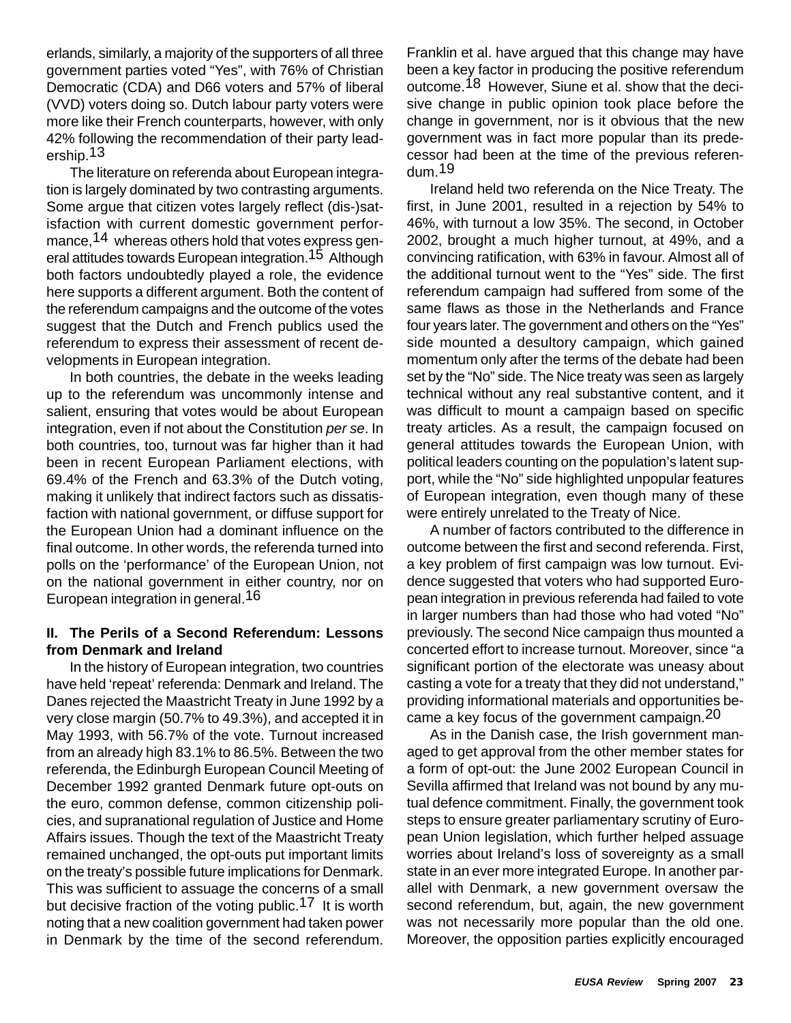erlands, similarly, a majority of the supporters of all three government parties voted "Yes", with 76% of Christian Democratic (CDA) and D66 voters and 57% of liberal (VVD) voters doing so. Dutch labour party voters were more like their French counterparts, however, with only 42% following the recommendation of their party leadership.13

The literature on referenda about European integration is largely dominated by two contrasting arguments. Some argue that citizen votes largely reflect (dis-)satisfaction with current domestic government performance, <sup>14</sup> whereas others hold that votes express general attitudes towards European integration.15 Although both factors undoubtedly played a role, the evidence here supports a different argument. Both the content of the referendum campaigns and the outcome of the votes suggest that the Dutch and French publics used the referendum to express their assessment of recent developments in European integration.

In both countries, the debate in the weeks leading up to the referendum was uncommonly intense and salient, ensuring that votes would be about European integration, even if not about the Constitution *per se*. In both countries, too, turnout was far higher than it had been in recent European Parliament elections, with 69.4% of the French and 63.3% of the Dutch voting, making it unlikely that indirect factors such as dissatisfaction with national government, or diffuse support for the European Union had a dominant influence on the final outcome. In other words, the referenda turned into polls on the 'performance' of the European Union, not on the national government in either country, nor on European integration in general.16

# **II. The Perils of a Second Referendum: Lessons from Denmark and Ireland**

In the history of European integration, two countries have held 'repeat' referenda: Denmark and Ireland. The Danes rejected the Maastricht Treaty in June 1992 by a very close margin (50.7% to 49.3%), and accepted it in May 1993, with 56.7% of the vote. Turnout increased from an already high 83.1% to 86.5%. Between the two referenda, the Edinburgh European Council Meeting of December 1992 granted Denmark future opt-outs on the euro, common defense, common citizenship policies, and supranational regulation of Justice and Home Affairs issues. Though the text of the Maastricht Treaty remained unchanged, the opt-outs put important limits on the treaty's possible future implications for Denmark. This was sufficient to assuage the concerns of a small but decisive fraction of the voting public.<sup>17</sup> It is worth noting that a new coalition government had taken power in Denmark by the time of the second referendum.

Franklin et al. have argued that this change may have been a key factor in producing the positive referendum outcome.18 However, Siune et al. show that the decisive change in public opinion took place before the change in government, nor is it obvious that the new government was in fact more popular than its predecessor had been at the time of the previous referendum.19

Ireland held two referenda on the Nice Treaty. The first, in June 2001, resulted in a rejection by 54% to 46%, with turnout a low 35%. The second, in October 2002, brought a much higher turnout, at 49%, and a convincing ratification, with 63% in favour. Almost all of the additional turnout went to the "Yes" side. The first referendum campaign had suffered from some of the same flaws as those in the Netherlands and France four years later. The government and others on the "Yes" side mounted a desultory campaign, which gained momentum only after the terms of the debate had been set by the "No" side. The Nice treaty was seen as largely technical without any real substantive content, and it was difficult to mount a campaign based on specific treaty articles. As a result, the campaign focused on general attitudes towards the European Union, with political leaders counting on the population's latent support, while the "No" side highlighted unpopular features of European integration, even though many of these were entirely unrelated to the Treaty of Nice.

A number of factors contributed to the difference in outcome between the first and second referenda. First, a key problem of first campaign was low turnout. Evidence suggested that voters who had supported European integration in previous referenda had failed to vote in larger numbers than had those who had voted "No" previously. The second Nice campaign thus mounted a concerted effort to increase turnout. Moreover, since "a significant portion of the electorate was uneasy about casting a vote for a treaty that they did not understand," providing informational materials and opportunities became a key focus of the government campaign.20

As in the Danish case, the Irish government managed to get approval from the other member states for a form of opt-out: the June 2002 European Council in Sevilla affirmed that Ireland was not bound by any mutual defence commitment. Finally, the government took steps to ensure greater parliamentary scrutiny of European Union legislation, which further helped assuage worries about Ireland's loss of sovereignty as a small state in an ever more integrated Europe. In another parallel with Denmark, a new government oversaw the second referendum, but, again, the new government was not necessarily more popular than the old one. Moreover, the opposition parties explicitly encouraged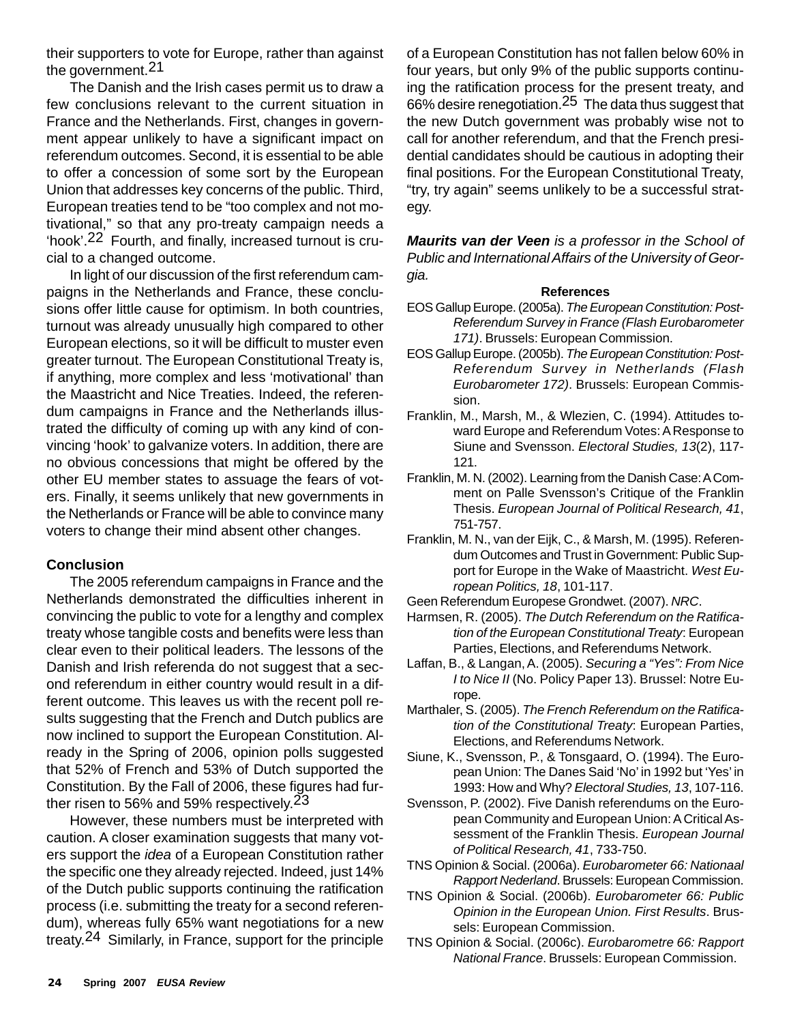their supporters to vote for Europe, rather than against the government.21

The Danish and the Irish cases permit us to draw a few conclusions relevant to the current situation in France and the Netherlands. First, changes in government appear unlikely to have a significant impact on referendum outcomes. Second, it is essential to be able to offer a concession of some sort by the European Union that addresses key concerns of the public. Third, European treaties tend to be "too complex and not motivational," so that any pro-treaty campaign needs a 'hook'.22 Fourth, and finally, increased turnout is crucial to a changed outcome.

In light of our discussion of the first referendum campaigns in the Netherlands and France, these conclusions offer little cause for optimism. In both countries, turnout was already unusually high compared to other European elections, so it will be difficult to muster even greater turnout. The European Constitutional Treaty is, if anything, more complex and less 'motivational' than the Maastricht and Nice Treaties. Indeed, the referendum campaigns in France and the Netherlands illustrated the difficulty of coming up with any kind of convincing 'hook' to galvanize voters. In addition, there are no obvious concessions that might be offered by the other EU member states to assuage the fears of voters. Finally, it seems unlikely that new governments in the Netherlands or France will be able to convince many voters to change their mind absent other changes.

# **Conclusion**

The 2005 referendum campaigns in France and the Netherlands demonstrated the difficulties inherent in convincing the public to vote for a lengthy and complex treaty whose tangible costs and benefits were less than clear even to their political leaders. The lessons of the Danish and Irish referenda do not suggest that a second referendum in either country would result in a different outcome. This leaves us with the recent poll results suggesting that the French and Dutch publics are now inclined to support the European Constitution. Already in the Spring of 2006, opinion polls suggested that 52% of French and 53% of Dutch supported the Constitution. By the Fall of 2006, these figures had further risen to 56% and 59% respectively.  $23$ 

However, these numbers must be interpreted with caution. A closer examination suggests that many voters support the *idea* of a European Constitution rather the specific one they already rejected. Indeed, just 14% of the Dutch public supports continuing the ratification process (i.e. submitting the treaty for a second referendum), whereas fully 65% want negotiations for a new treaty.24 Similarly, in France, support for the principle

of a European Constitution has not fallen below 60% in four years, but only 9% of the public supports continuing the ratification process for the present treaty, and 66% desire renegotiation.25 The data thus suggest that the new Dutch government was probably wise not to call for another referendum, and that the French presidential candidates should be cautious in adopting their final positions. For the European Constitutional Treaty, "try, try again" seems unlikely to be a successful strategy.

*Maurits van der Veen is a professor in the School of Public and International Affairs of the University of Georgia.*

#### **References**

- EOS Gallup Europe. (2005a). *The European Constitution: Post-Referendum Survey in France (Flash Eurobarometer 171)*. Brussels: European Commission.
- EOS Gallup Europe. (2005b). *The European Constitution: Post-Referendum Survey in Netherlands (Flash Eurobarometer 172)*. Brussels: European Commission.
- Franklin, M., Marsh, M., & Wlezien, C. (1994). Attitudes toward Europe and Referendum Votes: A Response to Siune and Svensson. *Electoral Studies, 13*(2), 117- 121.
- Franklin, M. N. (2002). Learning from the Danish Case: A Comment on Palle Svensson's Critique of the Franklin Thesis. *European Journal of Political Research, 41*, 751-757.
- Franklin, M. N., van der Eijk, C., & Marsh, M. (1995). Referendum Outcomes and Trust in Government: Public Support for Europe in the Wake of Maastricht. *West European Politics, 18*, 101-117.
- Geen Referendum Europese Grondwet. (2007). *NRC*.
- Harmsen, R. (2005). *The Dutch Referendum on the Ratification of the European Constitutional Treaty*: European Parties, Elections, and Referendums Network.
- Laffan, B., & Langan, A. (2005). *Securing a "Yes": From Nice I to Nice II* (No. Policy Paper 13). Brussel: Notre Europe.
- Marthaler, S. (2005). *The French Referendum on the Ratification of the Constitutional Treaty*: European Parties, Elections, and Referendums Network.
- Siune, K., Svensson, P., & Tonsgaard, O. (1994). The European Union: The Danes Said 'No' in 1992 but 'Yes' in 1993: How and Why? *Electoral Studies, 13*, 107-116.
- Svensson, P. (2002). Five Danish referendums on the European Community and European Union: A Critical Assessment of the Franklin Thesis. *European Journal of Political Research, 41*, 733-750.
- TNS Opinion & Social. (2006a). *Eurobarometer 66: Nationaal Rapport Nederland*. Brussels: European Commission.
- TNS Opinion & Social. (2006b). *Eurobarometer 66: Public Opinion in the European Union. First Results*. Brussels: European Commission.
- TNS Opinion & Social. (2006c). *Eurobarometre 66: Rapport National France*. Brussels: European Commission.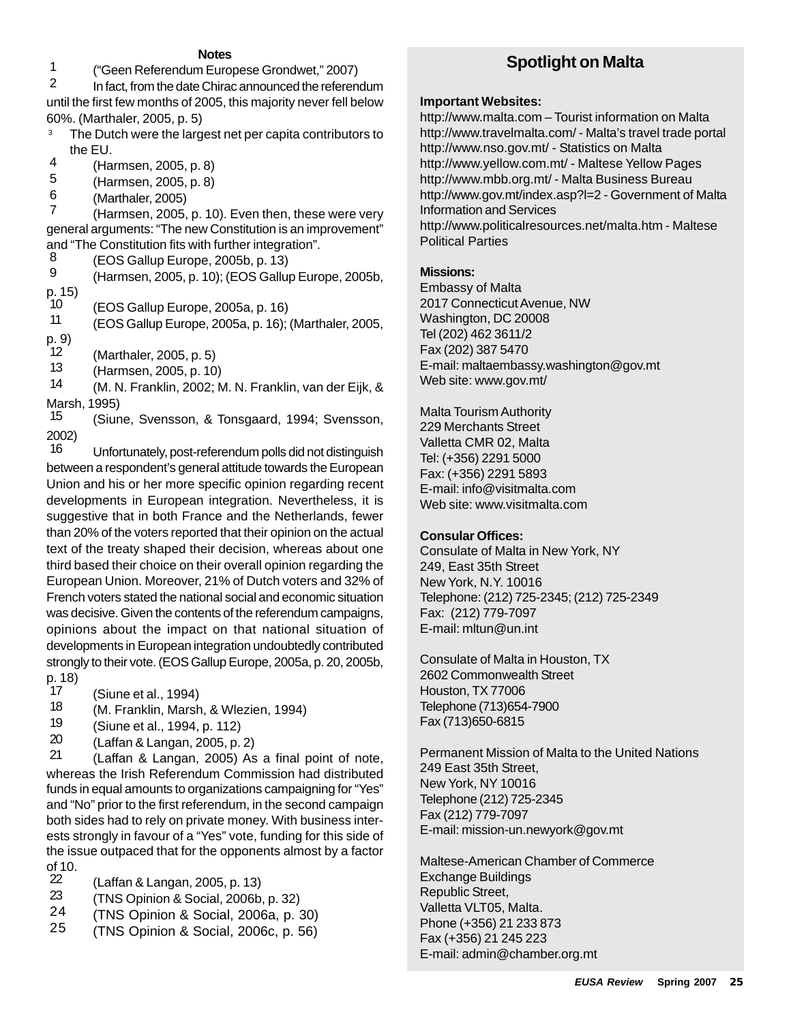#### **Notes**

1 ("Geen Referendum Europese Grondwet," 2007)

In fact, from the date Chirac announced the referendum until the first few months of 2005, this majority never fell below 60%. (Marthaler, 2005, p. 5)

- <sup>3</sup> The Dutch were the largest net per capita contributors to the EU.
- $\frac{4}{5}$  (Harmsen, 2005, p. 8)<br> $\frac{4}{5}$  (Harmsen, 2005, p. 8)
- $5$  (Harmsen, 2005, p. 8)<br>6 (Marthaler, 2005)
- $\frac{6}{7}$  (Marthaler, 2005)<br>7 (Harmsen, 2005)

(Harmsen, 2005, p. 10). Even then, these were very general arguments: "The new Constitution is an improvement" and "The Constitution fits with further integration".

 $\frac{8}{9}$  (EOS Gallup Europe, 2005b, p. 13)

9 (Harmsen, 2005, p. 10); (EOS Gallup Europe, 2005b, p. 15)

10 (EOS Gallup Europe, 2005a, p. 16)<br>11 (EOS Gallup Europe, 2005a, p. 16)

11 (EOS Gallup Europe, 2005a, p. 16); (Marthaler, 2005, p. 9)

 $12$  (Marthaler, 2005, p. 5)<br> $13$  (Harmsen, 2005, p. 10)

13 (Harmsen, 2005, p. 10)<br>14 (M. N. Franklin, 2002; N.

(M. N. Franklin, 2002; M. N. Franklin, van der Eijk, & Marsh, 1995)<br>15 (Siun

(Siune, Svensson, & Tonsgaard, 1994; Svensson, 2002)

16 Unfortunately, post-referendum polls did not distinguish between a respondent's general attitude towards the European Union and his or her more specific opinion regarding recent developments in European integration. Nevertheless, it is suggestive that in both France and the Netherlands, fewer than 20% of the voters reported that their opinion on the actual text of the treaty shaped their decision, whereas about one third based their choice on their overall opinion regarding the European Union. Moreover, 21% of Dutch voters and 32% of French voters stated the national social and economic situation was decisive. Given the contents of the referendum campaigns, opinions about the impact on that national situation of developments in European integration undoubtedly contributed strongly to their vote. (EOS Gallup Europe, 2005a, p. 20, 2005b, p. 18)

- 17 (Siune et al., 1994)<br>18 (M. Franklin, Marsh
- 18 (M. Franklin, Marsh, & Wlezien, 1994)
- $\frac{19}{20}$  (Siune et al., 1994, p. 112)<br>20 (Laffan & Langan, 2005, p.
- $\frac{20}{21}$  (Laffan & Langan, 2005, p. 2)<br>21 (Laffan & Langan, 2005), As

(Laffan & Langan, 2005) As a final point of note, whereas the Irish Referendum Commission had distributed funds in equal amounts to organizations campaigning for "Yes" and "No" prior to the first referendum, in the second campaign both sides had to rely on private money. With business interests strongly in favour of a "Yes" vote, funding for this side of the issue outpaced that for the opponents almost by a factor of 10.

- $\frac{22}{3}$  (Laffan & Langan, 2005, p. 13)<br> $\frac{23}{7}$  (TNS Opinion & Social 2006b)
- $\frac{23}{24}$  (TNS Opinion & Social, 2006b, p. 32)<br>24 (TNS Opinion & Social, 2006a, p. 3
- $\frac{24}{25}$  (TNS Opinion & Social, 2006a, p. 30)<br>25 (TNS Opinion & Social, 2006c, p. 56)
- 25 (TNS Opinion & Social, 2006c, p. 56)

# **Spotlight on Malta**

#### **Important Websites:**

http://www.malta.com – Tourist information on Malta http://www.travelmalta.com/ - Malta's travel trade portal http://www.nso.gov.mt/ - Statistics on Malta http://www.yellow.com.mt/ - Maltese Yellow Pages http://www.mbb.org.mt/ - Malta Business Bureau http://www.gov.mt/index.asp?l=2 - Government of Malta Information and Services http://www.politicalresources.net/malta.htm - Maltese Political Parties

#### **Missions:**

Embassy of Malta 2017 Connecticut Avenue, NW Washington, DC 20008 Tel (202) 462 3611/2 Fax (202) 387 5470 E-mail: maltaembassy.washington@gov.mt Web site: www.gov.mt/

Malta Tourism Authority 229 Merchants Street Valletta CMR 02, Malta Tel: (+356) 2291 5000 Fax: (+356) 2291 5893 E-mail: info@visitmalta.com Web site: www.visitmalta.com

#### **Consular Offices:**

Consulate of Malta in New York, NY 249, East 35th Street New York, N.Y. 10016 Telephone: (212) 725-2345; (212) 725-2349 Fax: (212) 779-7097 E-mail: mltun@un.int

Consulate of Malta in Houston, TX 2602 Commonwealth Street Houston, TX 77006 Telephone (713)654-7900 Fax (713)650-6815

Permanent Mission of Malta to the United Nations 249 East 35th Street, New York, NY 10016 Telephone (212) 725-2345 Fax (212) 779-7097 E-mail: mission-un.newyork@gov.mt

Maltese-American Chamber of Commerce Exchange Buildings Republic Street, Valletta VLT05, Malta. Phone (+356) 21 233 873 Fax (+356) 21 245 223 E-mail: admin@chamber.org.mt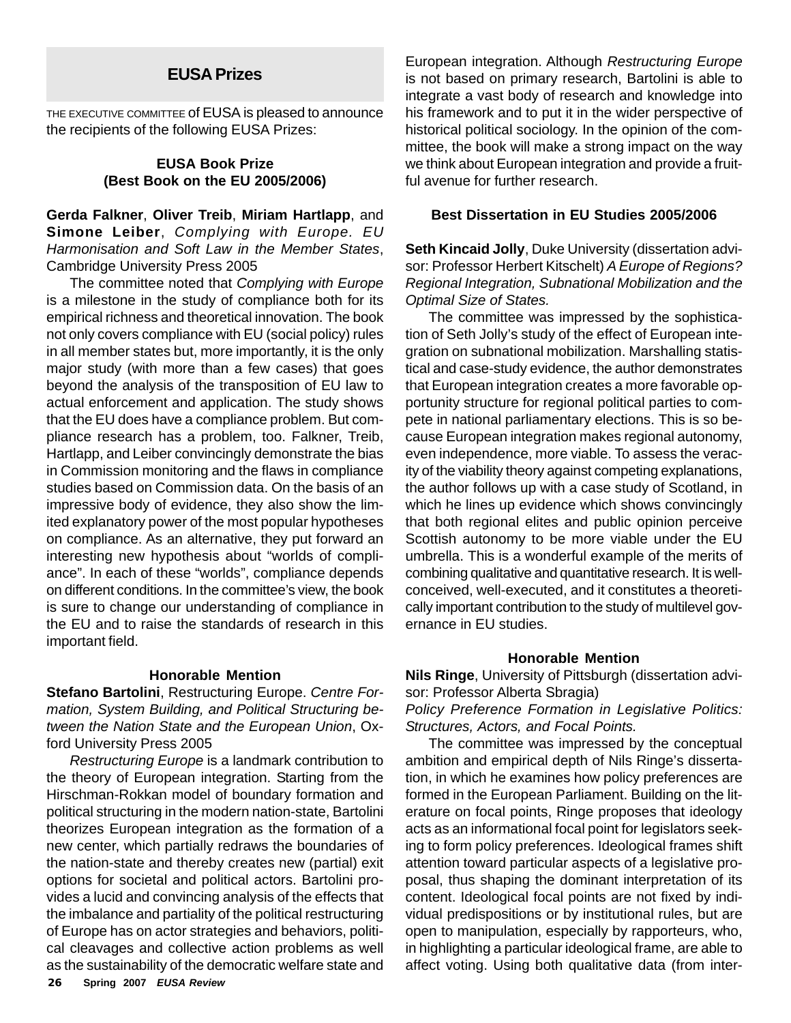THE EXECUTIVE COMMITTEE of EUSA is pleased to announce the recipients of the following EUSA Prizes:

#### **EUSA Book Prize (Best Book on the EU 2005/2006)**

**Gerda Falkner**, **Oliver Treib**, **Miriam Hartlapp**, and **Simone Leiber**, *Complying with Europe. EU Harmonisation and Soft Law in the Member States*, Cambridge University Press 2005

The committee noted that *Complying with Europe* is a milestone in the study of compliance both for its empirical richness and theoretical innovation. The book not only covers compliance with EU (social policy) rules in all member states but, more importantly, it is the only major study (with more than a few cases) that goes beyond the analysis of the transposition of EU law to actual enforcement and application. The study shows that the EU does have a compliance problem. But compliance research has a problem, too. Falkner, Treib, Hartlapp, and Leiber convincingly demonstrate the bias in Commission monitoring and the flaws in compliance studies based on Commission data. On the basis of an impressive body of evidence, they also show the limited explanatory power of the most popular hypotheses on compliance. As an alternative, they put forward an interesting new hypothesis about "worlds of compliance". In each of these "worlds", compliance depends on different conditions. In the committee's view, the book is sure to change our understanding of compliance in the EU and to raise the standards of research in this important field.

#### **Honorable Mention**

**Stefano Bartolini**, Restructuring Europe. *Centre Formation, System Building, and Political Structuring between the Nation State and the European Union*, Oxford University Press 2005

**26 Spring 2007** *EUSA Review Restructuring Europe* is a landmark contribution to the theory of European integration. Starting from the Hirschman-Rokkan model of boundary formation and political structuring in the modern nation-state, Bartolini theorizes European integration as the formation of a new center, which partially redraws the boundaries of the nation-state and thereby creates new (partial) exit options for societal and political actors. Bartolini provides a lucid and convincing analysis of the effects that the imbalance and partiality of the political restructuring of Europe has on actor strategies and behaviors, political cleavages and collective action problems as well as the sustainability of the democratic welfare state and

**EUSA Prizes** European integration. Although *Restructuring Europe* is not based on primary research, Bartolini is able to integrate a vast body of research and knowledge into his framework and to put it in the wider perspective of historical political sociology. In the opinion of the committee, the book will make a strong impact on the way we think about European integration and provide a fruitful avenue for further research.

#### **Best Dissertation in EU Studies 2005/2006**

**Seth Kincaid Jolly**, Duke University (dissertation advisor: Professor Herbert Kitschelt) *A Europe of Regions? Regional Integration, Subnational Mobilization and the Optimal Size of States.*

The committee was impressed by the sophistication of Seth Jolly's study of the effect of European integration on subnational mobilization. Marshalling statistical and case-study evidence, the author demonstrates that European integration creates a more favorable opportunity structure for regional political parties to compete in national parliamentary elections. This is so because European integration makes regional autonomy, even independence, more viable. To assess the veracity of the viability theory against competing explanations, the author follows up with a case study of Scotland, in which he lines up evidence which shows convincingly that both regional elites and public opinion perceive Scottish autonomy to be more viable under the EU umbrella. This is a wonderful example of the merits of combining qualitative and quantitative research. It is wellconceived, well-executed, and it constitutes a theoretically important contribution to the study of multilevel governance in EU studies.

#### **Honorable Mention**

**Nils Ringe**, University of Pittsburgh (dissertation advisor: Professor Alberta Sbragia)

*Policy Preference Formation in Legislative Politics: Structures, Actors, and Focal Points.*

The committee was impressed by the conceptual ambition and empirical depth of Nils Ringe's dissertation, in which he examines how policy preferences are formed in the European Parliament. Building on the literature on focal points, Ringe proposes that ideology acts as an informational focal point for legislators seeking to form policy preferences. Ideological frames shift attention toward particular aspects of a legislative proposal, thus shaping the dominant interpretation of its content. Ideological focal points are not fixed by individual predispositions or by institutional rules, but are open to manipulation, especially by rapporteurs, who, in highlighting a particular ideological frame, are able to affect voting. Using both qualitative data (from inter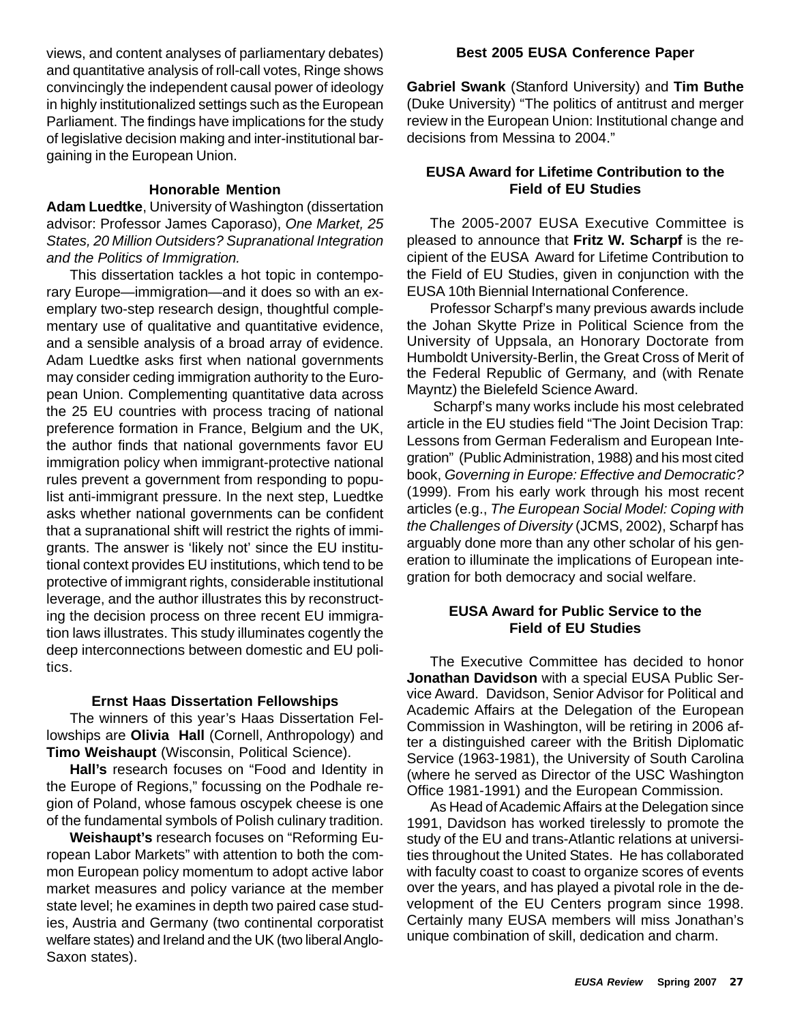views, and content analyses of parliamentary debates) and quantitative analysis of roll-call votes, Ringe shows convincingly the independent causal power of ideology in highly institutionalized settings such as the European Parliament. The findings have implications for the study of legislative decision making and inter-institutional bargaining in the European Union.

#### **Honorable Mention**

**Adam Luedtke**, University of Washington (dissertation advisor: Professor James Caporaso), *One Market, 25 States, 20 Million Outsiders? Supranational Integration and the Politics of Immigration.*

This dissertation tackles a hot topic in contemporary Europe—immigration—and it does so with an exemplary two-step research design, thoughtful complementary use of qualitative and quantitative evidence, and a sensible analysis of a broad array of evidence. Adam Luedtke asks first when national governments may consider ceding immigration authority to the European Union. Complementing quantitative data across the 25 EU countries with process tracing of national preference formation in France, Belgium and the UK, the author finds that national governments favor EU immigration policy when immigrant-protective national rules prevent a government from responding to populist anti-immigrant pressure. In the next step, Luedtke asks whether national governments can be confident that a supranational shift will restrict the rights of immigrants. The answer is 'likely not' since the EU institutional context provides EU institutions, which tend to be protective of immigrant rights, considerable institutional leverage, and the author illustrates this by reconstructing the decision process on three recent EU immigration laws illustrates. This study illuminates cogently the deep interconnections between domestic and EU politics.

#### **Ernst Haas Dissertation Fellowships**

The winners of this year's Haas Dissertation Fellowships are **Olivia Hall** (Cornell, Anthropology) and **Timo Weishaupt** (Wisconsin, Political Science).

**Hall's** research focuses on "Food and Identity in the Europe of Regions," focussing on the Podhale region of Poland, whose famous oscypek cheese is one of the fundamental symbols of Polish culinary tradition.

**Weishaupt's** research focuses on "Reforming European Labor Markets" with attention to both the common European policy momentum to adopt active labor market measures and policy variance at the member state level; he examines in depth two paired case studies, Austria and Germany (two continental corporatist welfare states) and Ireland and the UK (two liberal Anglo-Saxon states).

#### **Best 2005 EUSA Conference Paper**

**Gabriel Swank** (Stanford University) and **Tim Buthe** (Duke University) "The politics of antitrust and merger review in the European Union: Institutional change and decisions from Messina to 2004."

# **EUSA Award for Lifetime Contribution to the Field of EU Studies**

The 2005-2007 EUSA Executive Committee is pleased to announce that **Fritz W. Scharpf** is the recipient of the EUSA Award for Lifetime Contribution to the Field of EU Studies, given in conjunction with the EUSA 10th Biennial International Conference.

Professor Scharpf's many previous awards include the Johan Skytte Prize in Political Science from the University of Uppsala, an Honorary Doctorate from Humboldt University-Berlin, the Great Cross of Merit of the Federal Republic of Germany, and (with Renate Mayntz) the Bielefeld Science Award.

 Scharpf's many works include his most celebrated article in the EU studies field "The Joint Decision Trap: Lessons from German Federalism and European Integration" (Public Administration, 1988) and his most cited book, *Governing in Europe: Effective and Democratic?* (1999). From his early work through his most recent articles (e.g., *The European Social Model: Coping with the Challenges of Diversity* (JCMS, 2002), Scharpf has arguably done more than any other scholar of his generation to illuminate the implications of European integration for both democracy and social welfare.

# **EUSA Award for Public Service to the Field of EU Studies**

The Executive Committee has decided to honor **Jonathan Davidson** with a special EUSA Public Service Award. Davidson, Senior Advisor for Political and Academic Affairs at the Delegation of the European Commission in Washington, will be retiring in 2006 after a distinguished career with the British Diplomatic Service (1963-1981), the University of South Carolina (where he served as Director of the USC Washington Office 1981-1991) and the European Commission.

As Head of Academic Affairs at the Delegation since 1991, Davidson has worked tirelessly to promote the study of the EU and trans-Atlantic relations at universities throughout the United States. He has collaborated with faculty coast to coast to organize scores of events over the years, and has played a pivotal role in the development of the EU Centers program since 1998. Certainly many EUSA members will miss Jonathan's unique combination of skill, dedication and charm.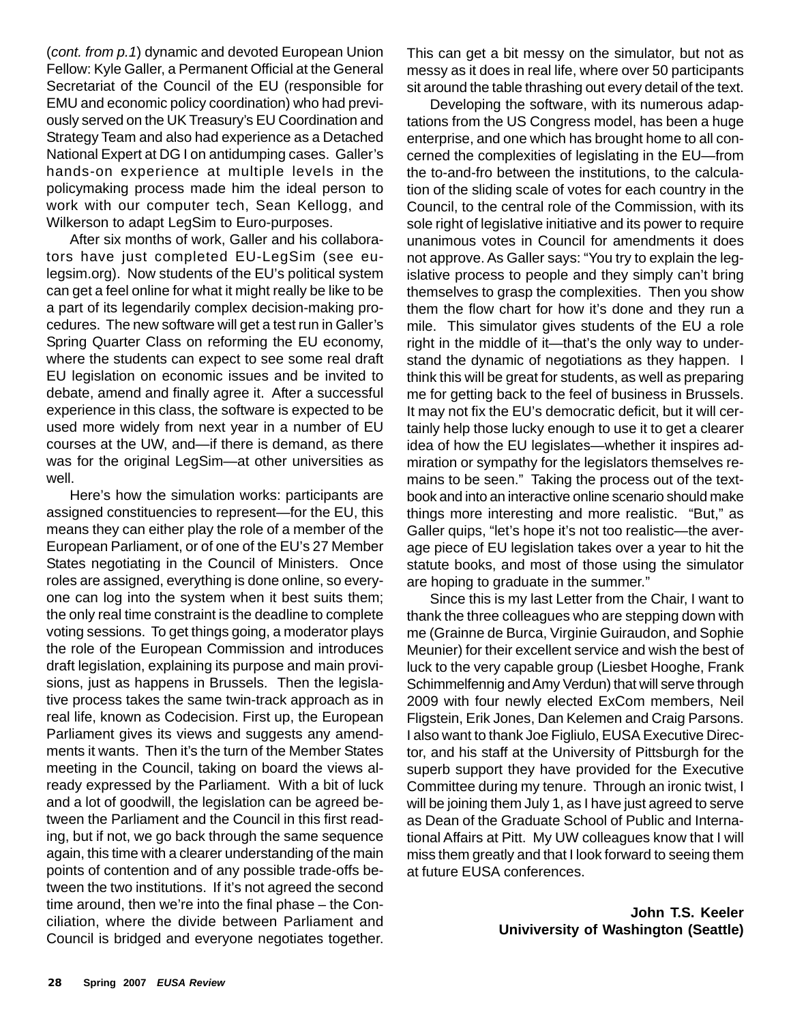(*cont. from p.1*) dynamic and devoted European Union Fellow: Kyle Galler, a Permanent Official at the General Secretariat of the Council of the EU (responsible for EMU and economic policy coordination) who had previously served on the UK Treasury's EU Coordination and Strategy Team and also had experience as a Detached National Expert at DG I on antidumping cases. Galler's hands-on experience at multiple levels in the policymaking process made him the ideal person to work with our computer tech, Sean Kellogg, and Wilkerson to adapt LegSim to Euro-purposes.

After six months of work, Galler and his collaborators have just completed EU-LegSim (see eulegsim.org). Now students of the EU's political system can get a feel online for what it might really be like to be a part of its legendarily complex decision-making procedures. The new software will get a test run in Galler's Spring Quarter Class on reforming the EU economy, where the students can expect to see some real draft EU legislation on economic issues and be invited to debate, amend and finally agree it. After a successful experience in this class, the software is expected to be used more widely from next year in a number of EU courses at the UW, and—if there is demand, as there was for the original LegSim—at other universities as well.

Here's how the simulation works: participants are assigned constituencies to represent—for the EU, this means they can either play the role of a member of the European Parliament, or of one of the EU's 27 Member States negotiating in the Council of Ministers. Once roles are assigned, everything is done online, so everyone can log into the system when it best suits them; the only real time constraint is the deadline to complete voting sessions. To get things going, a moderator plays the role of the European Commission and introduces draft legislation, explaining its purpose and main provisions, just as happens in Brussels. Then the legislative process takes the same twin-track approach as in real life, known as Codecision. First up, the European Parliament gives its views and suggests any amendments it wants. Then it's the turn of the Member States meeting in the Council, taking on board the views already expressed by the Parliament. With a bit of luck and a lot of goodwill, the legislation can be agreed between the Parliament and the Council in this first reading, but if not, we go back through the same sequence again, this time with a clearer understanding of the main points of contention and of any possible trade-offs between the two institutions. If it's not agreed the second time around, then we're into the final phase – the Conciliation, where the divide between Parliament and Council is bridged and everyone negotiates together.

This can get a bit messy on the simulator, but not as messy as it does in real life, where over 50 participants sit around the table thrashing out every detail of the text.

Developing the software, with its numerous adaptations from the US Congress model, has been a huge enterprise, and one which has brought home to all concerned the complexities of legislating in the EU—from the to-and-fro between the institutions, to the calculation of the sliding scale of votes for each country in the Council, to the central role of the Commission, with its sole right of legislative initiative and its power to require unanimous votes in Council for amendments it does not approve. As Galler says: "You try to explain the legislative process to people and they simply can't bring themselves to grasp the complexities. Then you show them the flow chart for how it's done and they run a mile. This simulator gives students of the EU a role right in the middle of it—that's the only way to understand the dynamic of negotiations as they happen. I think this will be great for students, as well as preparing me for getting back to the feel of business in Brussels. It may not fix the EU's democratic deficit, but it will certainly help those lucky enough to use it to get a clearer idea of how the EU legislates—whether it inspires admiration or sympathy for the legislators themselves remains to be seen." Taking the process out of the textbook and into an interactive online scenario should make things more interesting and more realistic. "But," as Galler quips, "let's hope it's not too realistic—the average piece of EU legislation takes over a year to hit the statute books, and most of those using the simulator are hoping to graduate in the summer."

Since this is my last Letter from the Chair, I want to thank the three colleagues who are stepping down with me (Grainne de Burca, Virginie Guiraudon, and Sophie Meunier) for their excellent service and wish the best of luck to the very capable group (Liesbet Hooghe, Frank Schimmelfennig and Amy Verdun) that will serve through 2009 with four newly elected ExCom members, Neil Fligstein, Erik Jones, Dan Kelemen and Craig Parsons. I also want to thank Joe Figliulo, EUSA Executive Director, and his staff at the University of Pittsburgh for the superb support they have provided for the Executive Committee during my tenure. Through an ironic twist, I will be joining them July 1, as I have just agreed to serve as Dean of the Graduate School of Public and International Affairs at Pitt. My UW colleagues know that I will miss them greatly and that I look forward to seeing them at future EUSA conferences.

> **John T.S. Keeler Univiversity of Washington (Seattle)**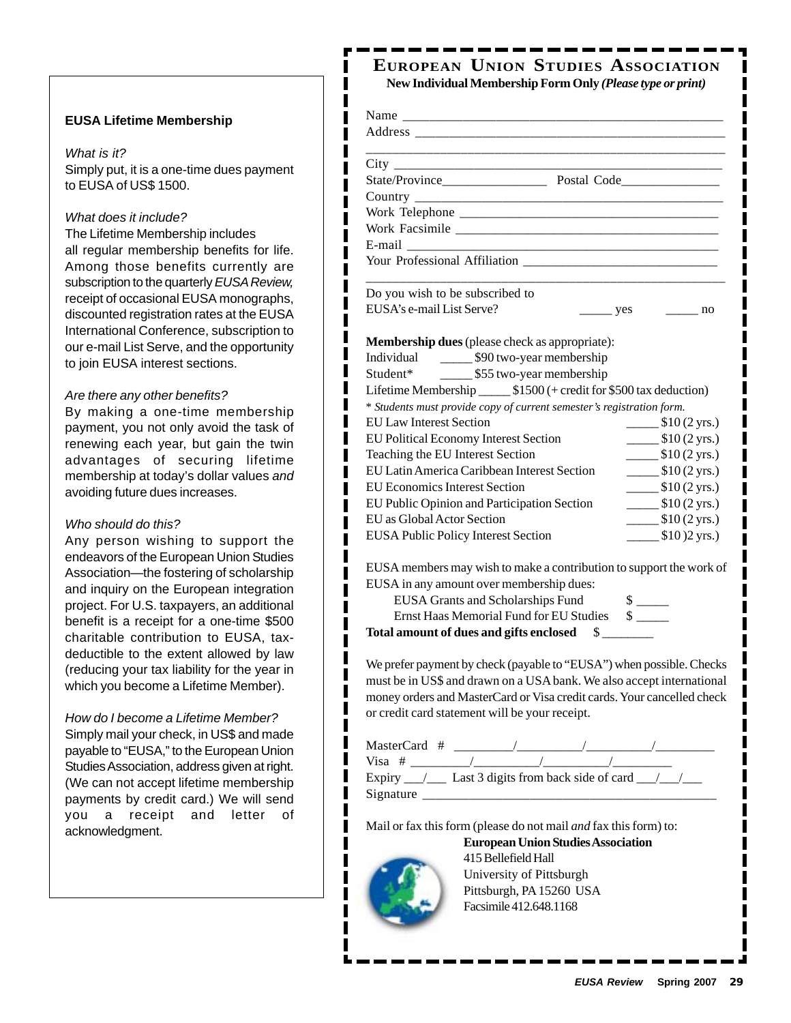#### **EUSA Lifetime Membership**

#### *What is it?*

Simply put, it is a one-time dues payment to EUSA of US\$ 1500.

ı

#### *What does it include?*

The Lifetime Membership includes all regular membership benefits for life. Among those benefits currently are subscription to the quarterly *EUSA Review,* receipt of occasional EUSA monographs, discounted registration rates at the EUSA International Conference, subscription to our e-mail List Serve, and the opportunity to join EUSA interest sections.

#### *Are there any other benefits?*

By making a one-time membership payment, you not only avoid the task of renewing each year, but gain the twin advantages of securing lifetime membership at today's dollar values *and* avoiding future dues increases.

#### *Who should do this?*

Any person wishing to support the endeavors of the European Union Studies Association—the fostering of scholarship and inquiry on the European integration project. For U.S. taxpayers, an additional benefit is a receipt for a one-time \$500 charitable contribution to EUSA, taxdeductible to the extent allowed by law (reducing your tax liability for the year in which you become a Lifetime Member).

*How do I become a Lifetime Member?* Simply mail your check, in US\$ and made payable to "EUSA," to the European Union Studies Association, address given at right. (We can not accept lifetime membership payments by credit card.) We will send you a receipt and letter of acknowledgment.

# **EUROPEAN UNION STUDIES ASSOCIATION New Individual Membership Form Only** *(Please type or print)*

| $\frac{\ }{\ }$ yes $\frac{\ }{\ }$ no<br>Membership dues (please check as appropriate):<br>Individual 590 two-year membership<br>Student* ________ \$55 two-year membership<br>Lifetime Membership _______ \$1500 (+ credit for \$500 tax deduction)<br>* Students must provide copy of current semester's registration form.<br>EUSA members may wish to make a contribution to support the work of<br>EUSA in any amount over membership dues:<br><b>EUSA Grants and Scholarships Fund</b><br>$\frac{\text{S}}{\text{S}}$<br>Ernst Haas Memorial Fund for EU Studies \$<br>Total amount of dues and gifts enclosed \$<br>We prefer payment by check (payable to "EUSA") when possible. Checks<br>must be in US\$ and drawn on a USA bank. We also accept international<br>money orders and MasterCard or Visa credit cards. Your cancelled check |                                                |                                                             |
|-----------------------------------------------------------------------------------------------------------------------------------------------------------------------------------------------------------------------------------------------------------------------------------------------------------------------------------------------------------------------------------------------------------------------------------------------------------------------------------------------------------------------------------------------------------------------------------------------------------------------------------------------------------------------------------------------------------------------------------------------------------------------------------------------------------------------------------------------------|------------------------------------------------|-------------------------------------------------------------|
|                                                                                                                                                                                                                                                                                                                                                                                                                                                                                                                                                                                                                                                                                                                                                                                                                                                     |                                                |                                                             |
|                                                                                                                                                                                                                                                                                                                                                                                                                                                                                                                                                                                                                                                                                                                                                                                                                                                     |                                                |                                                             |
|                                                                                                                                                                                                                                                                                                                                                                                                                                                                                                                                                                                                                                                                                                                                                                                                                                                     |                                                |                                                             |
|                                                                                                                                                                                                                                                                                                                                                                                                                                                                                                                                                                                                                                                                                                                                                                                                                                                     |                                                |                                                             |
|                                                                                                                                                                                                                                                                                                                                                                                                                                                                                                                                                                                                                                                                                                                                                                                                                                                     |                                                |                                                             |
|                                                                                                                                                                                                                                                                                                                                                                                                                                                                                                                                                                                                                                                                                                                                                                                                                                                     |                                                |                                                             |
|                                                                                                                                                                                                                                                                                                                                                                                                                                                                                                                                                                                                                                                                                                                                                                                                                                                     |                                                |                                                             |
|                                                                                                                                                                                                                                                                                                                                                                                                                                                                                                                                                                                                                                                                                                                                                                                                                                                     |                                                |                                                             |
|                                                                                                                                                                                                                                                                                                                                                                                                                                                                                                                                                                                                                                                                                                                                                                                                                                                     | Do you wish to be subscribed to                |                                                             |
|                                                                                                                                                                                                                                                                                                                                                                                                                                                                                                                                                                                                                                                                                                                                                                                                                                                     | EUSA's e-mail List Serve?                      |                                                             |
|                                                                                                                                                                                                                                                                                                                                                                                                                                                                                                                                                                                                                                                                                                                                                                                                                                                     |                                                |                                                             |
|                                                                                                                                                                                                                                                                                                                                                                                                                                                                                                                                                                                                                                                                                                                                                                                                                                                     |                                                |                                                             |
|                                                                                                                                                                                                                                                                                                                                                                                                                                                                                                                                                                                                                                                                                                                                                                                                                                                     |                                                |                                                             |
|                                                                                                                                                                                                                                                                                                                                                                                                                                                                                                                                                                                                                                                                                                                                                                                                                                                     |                                                |                                                             |
|                                                                                                                                                                                                                                                                                                                                                                                                                                                                                                                                                                                                                                                                                                                                                                                                                                                     |                                                |                                                             |
|                                                                                                                                                                                                                                                                                                                                                                                                                                                                                                                                                                                                                                                                                                                                                                                                                                                     |                                                |                                                             |
|                                                                                                                                                                                                                                                                                                                                                                                                                                                                                                                                                                                                                                                                                                                                                                                                                                                     | <b>EU Law Interest Section</b>                 | $\frac{\text{I}(2 \text{ yrs.})}{\text{I}(2 \text{ yrs.})}$ |
|                                                                                                                                                                                                                                                                                                                                                                                                                                                                                                                                                                                                                                                                                                                                                                                                                                                     | EU Political Economy Interest Section          | $\frac{\text{I}(2 \text{ yrs.})}{\text{I}(2 \text{ yrs.})}$ |
|                                                                                                                                                                                                                                                                                                                                                                                                                                                                                                                                                                                                                                                                                                                                                                                                                                                     | Teaching the EU Interest Section               | $\frac{\text{I}(2 \text{ yrs.})}{\text{I}(2 \text{ yrs.})}$ |
|                                                                                                                                                                                                                                                                                                                                                                                                                                                                                                                                                                                                                                                                                                                                                                                                                                                     | EU Latin America Caribbean Interest Section    | $\frac{\text{I}(2 \text{ yrs.})}{\text{I}(2 \text{ yrs.})}$ |
|                                                                                                                                                                                                                                                                                                                                                                                                                                                                                                                                                                                                                                                                                                                                                                                                                                                     | <b>EU Economics Interest Section</b>           | $\frac{\text{I}(2 \text{ yrs.})}{\text{I}(2 \text{ yrs.})}$ |
|                                                                                                                                                                                                                                                                                                                                                                                                                                                                                                                                                                                                                                                                                                                                                                                                                                                     | EU Public Opinion and Participation Section    | $\frac{\text{I}(2 \text{ yrs.})}{\text{I}(2 \text{ yrs.})}$ |
|                                                                                                                                                                                                                                                                                                                                                                                                                                                                                                                                                                                                                                                                                                                                                                                                                                                     | EU as Global Actor Section                     | $\frac{\$10(2 \text{ yrs.})}{}$                             |
|                                                                                                                                                                                                                                                                                                                                                                                                                                                                                                                                                                                                                                                                                                                                                                                                                                                     | <b>EUSA Public Policy Interest Section</b>     | $\frac{\text{I}}{\text{I}}(0)$ (2 yrs.)                     |
|                                                                                                                                                                                                                                                                                                                                                                                                                                                                                                                                                                                                                                                                                                                                                                                                                                                     |                                                |                                                             |
|                                                                                                                                                                                                                                                                                                                                                                                                                                                                                                                                                                                                                                                                                                                                                                                                                                                     |                                                |                                                             |
|                                                                                                                                                                                                                                                                                                                                                                                                                                                                                                                                                                                                                                                                                                                                                                                                                                                     |                                                |                                                             |
|                                                                                                                                                                                                                                                                                                                                                                                                                                                                                                                                                                                                                                                                                                                                                                                                                                                     |                                                |                                                             |
|                                                                                                                                                                                                                                                                                                                                                                                                                                                                                                                                                                                                                                                                                                                                                                                                                                                     |                                                |                                                             |
|                                                                                                                                                                                                                                                                                                                                                                                                                                                                                                                                                                                                                                                                                                                                                                                                                                                     |                                                |                                                             |
|                                                                                                                                                                                                                                                                                                                                                                                                                                                                                                                                                                                                                                                                                                                                                                                                                                                     |                                                |                                                             |
|                                                                                                                                                                                                                                                                                                                                                                                                                                                                                                                                                                                                                                                                                                                                                                                                                                                     |                                                |                                                             |
|                                                                                                                                                                                                                                                                                                                                                                                                                                                                                                                                                                                                                                                                                                                                                                                                                                                     |                                                |                                                             |
|                                                                                                                                                                                                                                                                                                                                                                                                                                                                                                                                                                                                                                                                                                                                                                                                                                                     | or credit card statement will be your receipt. |                                                             |
|                                                                                                                                                                                                                                                                                                                                                                                                                                                                                                                                                                                                                                                                                                                                                                                                                                                     |                                                |                                                             |
|                                                                                                                                                                                                                                                                                                                                                                                                                                                                                                                                                                                                                                                                                                                                                                                                                                                     |                                                |                                                             |
|                                                                                                                                                                                                                                                                                                                                                                                                                                                                                                                                                                                                                                                                                                                                                                                                                                                     |                                                |                                                             |

Mail or fax this form (please do not mail *and* fax this form) to:

**European Union Studies Association**



I ı I I ı

415 Bellefield Hall University of Pittsburgh Pittsburgh, PA 15260 USA Facsimile 412.648.1168